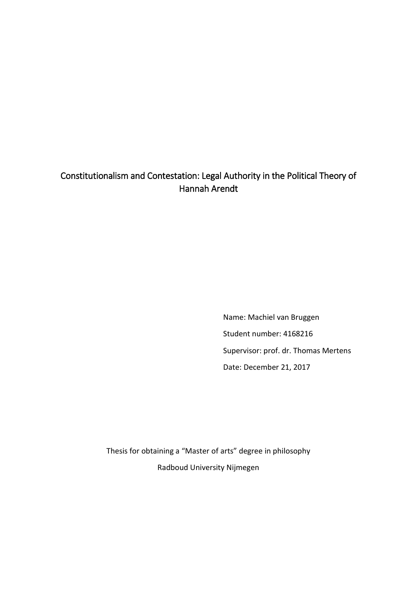# Constitutionalism and Contestation: Legal Authority in the Political Theory of Hannah Arendt

Name: Machiel van Bruggen Student number: 4168216 Supervisor: prof. dr. Thomas Mertens Date: December 21, 2017

Thesis for obtaining a "Master of arts" degree in philosophy Radboud University Nijmegen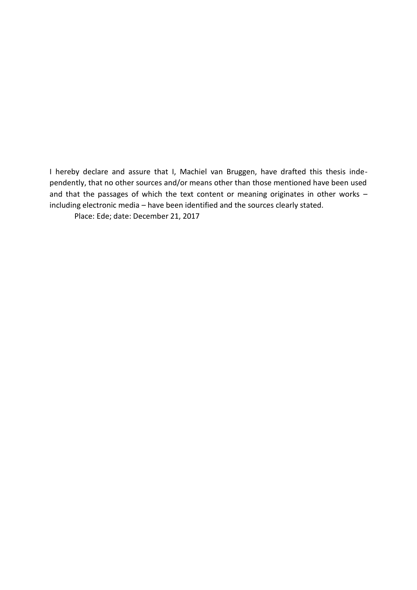I hereby declare and assure that I, Machiel van Bruggen, have drafted this thesis independently, that no other sources and/or means other than those mentioned have been used and that the passages of which the text content or meaning originates in other works – including electronic media – have been identified and the sources clearly stated.

Place: Ede; date: December 21, 2017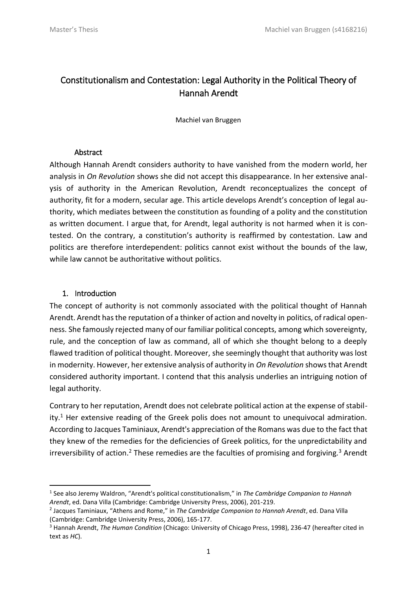# Constitutionalism and Contestation: Legal Authority in the Political Theory of Hannah Arendt

Machiel van Bruggen

# **Abstract**

Although Hannah Arendt considers authority to have vanished from the modern world, her analysis in *On Revolution* shows she did not accept this disappearance. In her extensive analysis of authority in the American Revolution, Arendt reconceptualizes the concept of authority, fit for a modern, secular age. This article develops Arendt's conception of legal authority, which mediates between the constitution as founding of a polity and the constitution as written document. I argue that, for Arendt, legal authority is not harmed when it is contested. On the contrary, a constitution's authority is reaffirmed by contestation. Law and politics are therefore interdependent: politics cannot exist without the bounds of the law, while law cannot be authoritative without politics.

# 1. Introduction

1

The concept of authority is not commonly associated with the political thought of Hannah Arendt. Arendt has the reputation of a thinker of action and novelty in politics, of radical openness. She famously rejected many of our familiar political concepts, among which sovereignty, rule, and the conception of law as command, all of which she thought belong to a deeply flawed tradition of political thought. Moreover, she seemingly thought that authority was lost in modernity. However, her extensive analysis of authority in *On Revolution* shows that Arendt considered authority important. I contend that this analysis underlies an intriguing notion of legal authority.

Contrary to her reputation, Arendt does not celebrate political action at the expense of stability. $1$  Her extensive reading of the Greek polis does not amount to unequivocal admiration. According to Jacques Taminiaux, Arendt's appreciation of the Romans was due to the fact that they knew of the remedies for the deficiencies of Greek politics, for the unpredictability and irreversibility of action.<sup>2</sup> These remedies are the faculties of promising and forgiving.<sup>3</sup> Arendt

<sup>1</sup> See also Jeremy Waldron, "Arendt's political constitutionalism," in *The Cambridge Companion to Hannah Arendt*, ed. Dana Villa (Cambridge: Cambridge University Press, 2006), 201-219.

<sup>2</sup> Jacques Taminiaux, "Athens and Rome," in *The Cambridge Companion to Hannah Arendt*, ed. Dana Villa (Cambridge: Cambridge University Press, 2006), 165-177.

<sup>3</sup> Hannah Arendt, *The Human Condition* (Chicago: University of Chicago Press, 1998), 236-47 (hereafter cited in text as *HC*).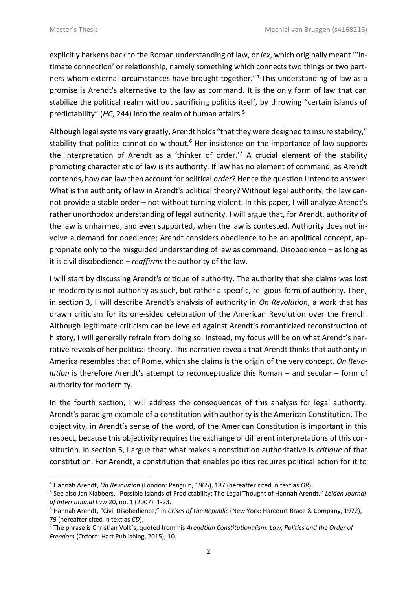$\overline{a}$ 

explicitly harkens back to the Roman understanding of law, or *lex*, which originally meant "'intimate connection' or relationship, namely something which connects two things or two partners whom external circumstances have brought together."<sup>4</sup> This understanding of law as a promise is Arendt's alternative to the law as command. It is the only form of law that can stabilize the political realm without sacrificing politics itself, by throwing "certain islands of predictability" (*HC*, 244) into the realm of human affairs.<sup>5</sup>

Although legal systems vary greatly, Arendt holds "that they were designed to insure stability," stability that politics cannot do without.<sup>6</sup> Her insistence on the importance of law supports the interpretation of Arendt as a 'thinker of order.<sup>'7</sup> A crucial element of the stability promoting characteristic of law is its authority. If law has no element of command, as Arendt contends, how can law then account for political *order*? Hence the question I intend to answer: What is the authority of law in Arendt's political theory? Without legal authority, the law cannot provide a stable order – not without turning violent. In this paper, I will analyze Arendt's rather unorthodox understanding of legal authority. I will argue that, for Arendt, authority of the law is unharmed, and even supported, when the law is contested. Authority does not involve a demand for obedience; Arendt considers obedience to be an apolitical concept, appropriate only to the misguided understanding of law as command. Disobedience – as long as it is civil disobedience – *reaffirms* the authority of the law.

I will start by discussing Arendt's critique of authority. The authority that she claims was lost in modernity is not authority as such, but rather a specific, religious form of authority. Then, in section 3, I will describe Arendt's analysis of authority in *On Revolution*, a work that has drawn criticism for its one-sided celebration of the American Revolution over the French. Although legitimate criticism can be leveled against Arendt's romanticized reconstruction of history, I will generally refrain from doing so. Instead, my focus will be on what Arendt's narrative reveals of her political theory. This narrative reveals that Arendt thinks that authority in America resembles that of Rome, which she claims is the origin of the very concept. *On Revolution* is therefore Arendt's attempt to reconceptualize this Roman – and secular – form of authority for modernity.

In the fourth section, I will address the consequences of this analysis for legal authority. Arendt's paradigm example of a constitution with authority is the American Constitution. The objectivity, in Arendt's sense of the word, of the American Constitution is important in this respect, because this objectivity requires the exchange of different interpretations of this constitution. In section 5, I argue that what makes a constitution authoritative is *critique* of that constitution. For Arendt, a constitution that enables politics requires political action for it to

<sup>4</sup> Hannah Arendt, *On Revolution* (London: Penguin, 1965), 187 (hereafter cited in text as *OR*).

<sup>5</sup> See also Jan Klabbers, "Possible Islands of Predictability: The Legal Thought of Hannah Arendt," *Leiden Journal of International Law* 20, no. 1 (2007): 1-23.

<sup>6</sup> Hannah Arendt, "Civil Disobedience," in *Crises of the Republic* (New York: Harcourt Brace & Company, 1972), 79 (hereafter cited in text as *CD*).

<sup>7</sup> The phrase is Christian Volk's, quoted from his *Arendtian Constitutionalism: Law, Politics and the Order of Freedom* (Oxford: Hart Publishing, 2015), 10.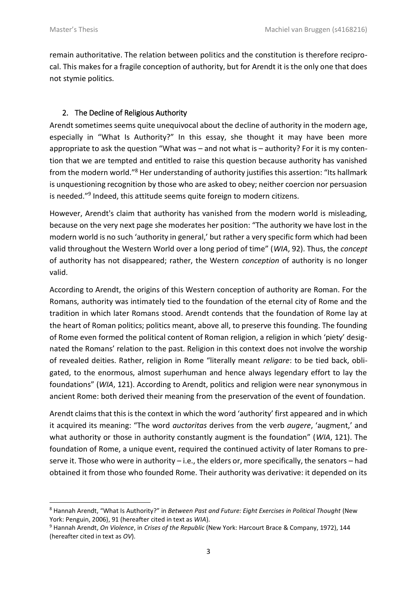$\overline{a}$ 

remain authoritative. The relation between politics and the constitution is therefore reciprocal. This makes for a fragile conception of authority, but for Arendt it is the only one that does not stymie politics.

### 2. The Decline of Religious Authority

Arendt sometimes seems quite unequivocal about the decline of authority in the modern age, especially in "What Is Authority?" In this essay, she thought it may have been more appropriate to ask the question "What was – and not what is – authority? For it is my contention that we are tempted and entitled to raise this question because authority has vanished from the modern world."<sup>8</sup> Her understanding of authority justifies this assertion: "Its hallmark is unquestioning recognition by those who are asked to obey; neither coercion nor persuasion is needed."<sup>9</sup> Indeed, this attitude seems quite foreign to modern citizens.

However, Arendt's claim that authority has vanished from the modern world is misleading, because on the very next page she moderates her position: "The authority we have lost in the modern world is no such 'authority in general,' but rather a very specific form which had been valid throughout the Western World over a long period of time" (*WIA*, 92). Thus, the *concept* of authority has not disappeared; rather, the Western *conception* of authority is no longer valid.

According to Arendt, the origins of this Western conception of authority are Roman. For the Romans, authority was intimately tied to the foundation of the eternal city of Rome and the tradition in which later Romans stood. Arendt contends that the foundation of Rome lay at the heart of Roman politics; politics meant, above all, to preserve this founding. The founding of Rome even formed the political content of Roman religion, a religion in which 'piety' designated the Romans' relation to the past. Religion in this context does not involve the worship of revealed deities. Rather, religion in Rome "literally meant *religare*: to be tied back, obligated, to the enormous, almost superhuman and hence always legendary effort to lay the foundations" (*WIA*, 121). According to Arendt, politics and religion were near synonymous in ancient Rome: both derived their meaning from the preservation of the event of foundation.

Arendt claims that this is the context in which the word 'authority' first appeared and in which it acquired its meaning: "The word *auctoritas* derives from the verb *augere*, 'augment,' and what authority or those in authority constantly augment is the foundation" (*WIA*, 121). The foundation of Rome, a unique event, required the continued activity of later Romans to preserve it. Those who were in authority – i.e., the elders or, more specifically, the senators – had obtained it from those who founded Rome. Their authority was derivative: it depended on its

<sup>8</sup> Hannah Arendt, "What Is Authority?" in *Between Past and Future: Eight Exercises in Political Thought* (New York: Penguin, 2006), 91 (hereafter cited in text as *WIA*).

<sup>9</sup> Hannah Arendt, *On Violence*, in *Crises of the Republic* (New York: Harcourt Brace & Company, 1972), 144 (hereafter cited in text as *OV*).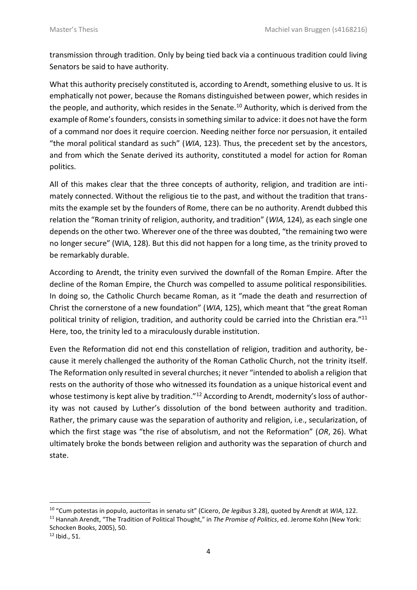transmission through tradition. Only by being tied back via a continuous tradition could living Senators be said to have authority.

What this authority precisely constituted is, according to Arendt, something elusive to us. It is emphatically not power, because the Romans distinguished between power, which resides in the people, and authority, which resides in the Senate.<sup>10</sup> Authority, which is derived from the example of Rome's founders, consists in something similar to advice: it does not have the form of a command nor does it require coercion. Needing neither force nor persuasion, it entailed "the moral political standard as such" (*WIA*, 123). Thus, the precedent set by the ancestors, and from which the Senate derived its authority, constituted a model for action for Roman politics.

All of this makes clear that the three concepts of authority, religion, and tradition are intimately connected. Without the religious tie to the past, and without the tradition that transmits the example set by the founders of Rome, there can be no authority. Arendt dubbed this relation the "Roman trinity of religion, authority, and tradition" (*WIA*, 124), as each single one depends on the other two. Wherever one of the three was doubted, "the remaining two were no longer secure" (WIA, 128). But this did not happen for a long time, as the trinity proved to be remarkably durable.

According to Arendt, the trinity even survived the downfall of the Roman Empire. After the decline of the Roman Empire, the Church was compelled to assume political responsibilities. In doing so, the Catholic Church became Roman, as it "made the death and resurrection of Christ the cornerstone of a new foundation" (*WIA*, 125), which meant that "the great Roman political trinity of religion, tradition, and authority could be carried into the Christian era."<sup>11</sup> Here, too, the trinity led to a miraculously durable institution.

Even the Reformation did not end this constellation of religion, tradition and authority, because it merely challenged the authority of the Roman Catholic Church, not the trinity itself. The Reformation only resulted in several churches; it never "intended to abolish a religion that rests on the authority of those who witnessed its foundation as a unique historical event and whose testimony is kept alive by tradition."<sup>12</sup> According to Arendt, modernity's loss of authority was not caused by Luther's dissolution of the bond between authority and tradition. Rather, the primary cause was the separation of authority and religion, i.e., secularization, of which the first stage was "the rise of absolutism, and not the Reformation" (*OR*, 26). What ultimately broke the bonds between religion and authority was the separation of church and state.

 $\overline{a}$ 

<sup>10</sup> "Cum potestas in populo, auctoritas in senatu sit" (Cicero, *De legibus* 3.28), quoted by Arendt at *WIA*, 122.

<sup>11</sup> Hannah Arendt, "The Tradition of Political Thought," in *The Promise of Politics*, ed. Jerome Kohn (New York: Schocken Books, 2005), 50.

 $12$  Ibid., 51.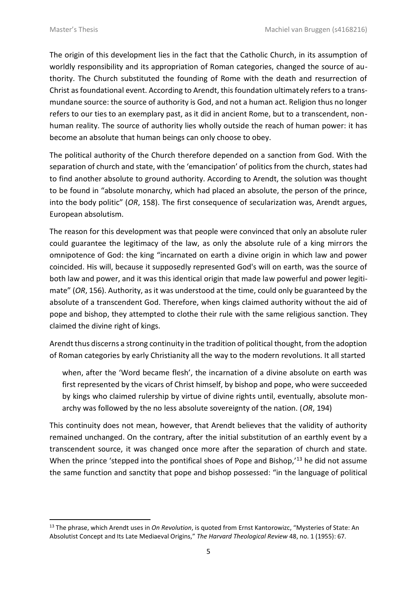$\overline{a}$ 

The origin of this development lies in the fact that the Catholic Church, in its assumption of worldly responsibility and its appropriation of Roman categories, changed the source of authority. The Church substituted the founding of Rome with the death and resurrection of Christ as foundational event. According to Arendt, this foundation ultimately refers to a transmundane source: the source of authority is God, and not a human act. Religion thus no longer refers to our ties to an exemplary past, as it did in ancient Rome, but to a transcendent, nonhuman reality. The source of authority lies wholly outside the reach of human power: it has become an absolute that human beings can only choose to obey.

The political authority of the Church therefore depended on a sanction from God. With the separation of church and state, with the 'emancipation' of politics from the church, states had to find another absolute to ground authority. According to Arendt, the solution was thought to be found in "absolute monarchy, which had placed an absolute, the person of the prince, into the body politic" (*OR*, 158). The first consequence of secularization was, Arendt argues, European absolutism.

The reason for this development was that people were convinced that only an absolute ruler could guarantee the legitimacy of the law, as only the absolute rule of a king mirrors the omnipotence of God: the king "incarnated on earth a divine origin in which law and power coincided. His will, because it supposedly represented God's will on earth, was the source of both law and power, and it was this identical origin that made law powerful and power legitimate" (*OR*, 156). Authority, as it was understood at the time, could only be guaranteed by the absolute of a transcendent God. Therefore, when kings claimed authority without the aid of pope and bishop, they attempted to clothe their rule with the same religious sanction. They claimed the divine right of kings.

Arendt thus discerns a strong continuity in the tradition of political thought, from the adoption of Roman categories by early Christianity all the way to the modern revolutions. It all started

when, after the 'Word became flesh', the incarnation of a divine absolute on earth was first represented by the vicars of Christ himself, by bishop and pope, who were succeeded by kings who claimed rulership by virtue of divine rights until, eventually, absolute monarchy was followed by the no less absolute sovereignty of the nation. (*OR*, 194)

This continuity does not mean, however, that Arendt believes that the validity of authority remained unchanged. On the contrary, after the initial substitution of an earthly event by a transcendent source, it was changed once more after the separation of church and state. When the prince 'stepped into the pontifical shoes of Pope and Bishop,'<sup>13</sup> he did not assume the same function and sanctity that pope and bishop possessed: "in the language of political

<sup>13</sup> The phrase, which Arendt uses in *On Revolution*, is quoted from Ernst Kantorowizc, "Mysteries of State: An Absolutist Concept and Its Late Mediaeval Origins," *The Harvard Theological Review* 48, no. 1 (1955): 67.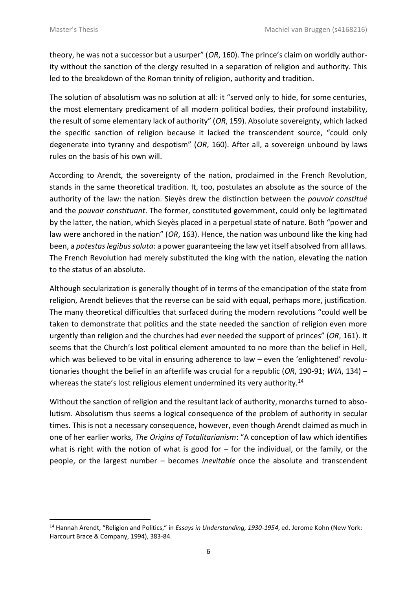$\overline{a}$ 

theory, he was not a successor but a usurper" (*OR*, 160). The prince's claim on worldly authority without the sanction of the clergy resulted in a separation of religion and authority. This led to the breakdown of the Roman trinity of religion, authority and tradition.

The solution of absolutism was no solution at all: it "served only to hide, for some centuries, the most elementary predicament of all modern political bodies, their profound instability, the result of some elementary lack of authority" (*OR*, 159). Absolute sovereignty, which lacked the specific sanction of religion because it lacked the transcendent source, "could only degenerate into tyranny and despotism" (*OR*, 160). After all, a sovereign unbound by laws rules on the basis of his own will.

According to Arendt, the sovereignty of the nation, proclaimed in the French Revolution, stands in the same theoretical tradition. It, too, postulates an absolute as the source of the authority of the law: the nation. Sieyès drew the distinction between the *pouvoir constitué* and the *pouvoir constituant*. The former, constituted government, could only be legitimated by the latter, the nation, which Sieyès placed in a perpetual state of nature. Both "power and law were anchored in the nation" (*OR*, 163). Hence, the nation was unbound like the king had been, a *potestas legibus soluta*: a power guaranteeing the law yet itself absolved from all laws. The French Revolution had merely substituted the king with the nation, elevating the nation to the status of an absolute.

Although secularization is generally thought of in terms of the emancipation of the state from religion, Arendt believes that the reverse can be said with equal, perhaps more, justification. The many theoretical difficulties that surfaced during the modern revolutions "could well be taken to demonstrate that politics and the state needed the sanction of religion even more urgently than religion and the churches had ever needed the support of princes" (*OR*, 161). It seems that the Church's lost political element amounted to no more than the belief in Hell, which was believed to be vital in ensuring adherence to law – even the 'enlightened' revolutionaries thought the belief in an afterlife was crucial for a republic (*OR*, 190-91; *WIA*, 134) – whereas the state's lost religious element undermined its very authority.<sup>14</sup>

Without the sanction of religion and the resultant lack of authority, monarchs turned to absolutism. Absolutism thus seems a logical consequence of the problem of authority in secular times. This is not a necessary consequence, however, even though Arendt claimed as much in one of her earlier works, *The Origins of Totalitarianism*: "A conception of law which identifies what is right with the notion of what is good for  $-$  for the individual, or the family, or the people, or the largest number – becomes *inevitable* once the absolute and transcendent

<sup>14</sup> Hannah Arendt, "Religion and Politics," in *Essays in Understanding, 1930-1954*, ed. Jerome Kohn (New York: Harcourt Brace & Company, 1994), 383-84.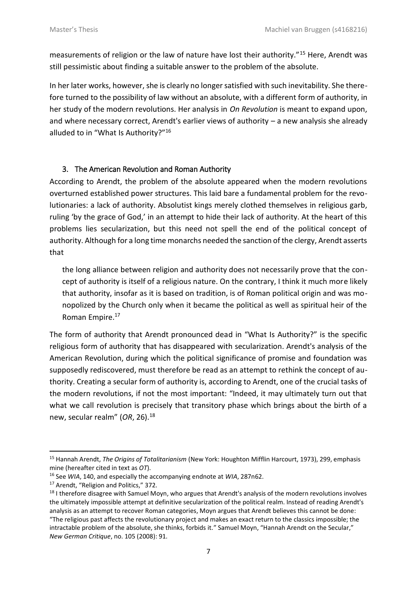measurements of religion or the law of nature have lost their authority."<sup>15</sup> Here, Arendt was still pessimistic about finding a suitable answer to the problem of the absolute.

In her later works, however, she is clearly no longer satisfied with such inevitability. She therefore turned to the possibility of law without an absolute, with a different form of authority, in her study of the modern revolutions. Her analysis in *On Revolution* is meant to expand upon, and where necessary correct, Arendt's earlier views of authority – a new analysis she already alluded to in "What Is Authority?"<sup>16</sup>

# 3. The American Revolution and Roman Authority

According to Arendt, the problem of the absolute appeared when the modern revolutions overturned established power structures. This laid bare a fundamental problem for the revolutionaries: a lack of authority. Absolutist kings merely clothed themselves in religious garb, ruling 'by the grace of God,' in an attempt to hide their lack of authority. At the heart of this problems lies secularization, but this need not spell the end of the political concept of authority. Although for a long time monarchs needed the sanction of the clergy, Arendt asserts that

the long alliance between religion and authority does not necessarily prove that the concept of authority is itself of a religious nature. On the contrary, I think it much more likely that authority, insofar as it is based on tradition, is of Roman political origin and was monopolized by the Church only when it became the political as well as spiritual heir of the Roman Empire.<sup>17</sup>

The form of authority that Arendt pronounced dead in "What Is Authority?" is the specific religious form of authority that has disappeared with secularization. Arendt's analysis of the American Revolution, during which the political significance of promise and foundation was supposedly rediscovered, must therefore be read as an attempt to rethink the concept of authority. Creating a secular form of authority is, according to Arendt, one of the crucial tasks of the modern revolutions, if not the most important: "Indeed, it may ultimately turn out that what we call revolution is precisely that transitory phase which brings about the birth of a new, secular realm" (*OR*, 26).<sup>18</sup>

1

<sup>15</sup> Hannah Arendt, *The Origins of Totalitarianism* (New York: Houghton Mifflin Harcourt, 1973), 299, emphasis mine (hereafter cited in text as *OT*).

<sup>16</sup> See *WIA*, 140, and especially the accompanying endnote at *WIA*, 287n62.

<sup>&</sup>lt;sup>17</sup> Arendt, "Religion and Politics," 372.

<sup>&</sup>lt;sup>18</sup> I therefore disagree with Samuel Moyn, who argues that Arendt's analysis of the modern revolutions involves the ultimately impossible attempt at definitive secularization of the political realm. Instead of reading Arendt's analysis as an attempt to recover Roman categories, Moyn argues that Arendt believes this cannot be done: "The religious past affects the revolutionary project and makes an exact return to the classics impossible; the intractable problem of the absolute, she thinks, forbids it." Samuel Moyn, "Hannah Arendt on the Secular," *New German Critique*, no. 105 (2008): 91.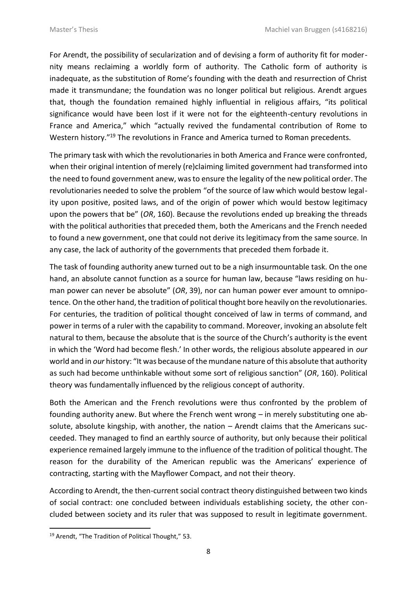For Arendt, the possibility of secularization and of devising a form of authority fit for modernity means reclaiming a worldly form of authority. The Catholic form of authority is inadequate, as the substitution of Rome's founding with the death and resurrection of Christ made it transmundane; the foundation was no longer political but religious. Arendt argues that, though the foundation remained highly influential in religious affairs, "its political significance would have been lost if it were not for the eighteenth-century revolutions in France and America," which "actually revived the fundamental contribution of Rome to Western history."<sup>19</sup> The revolutions in France and America turned to Roman precedents.

The primary task with which the revolutionaries in both America and France were confronted, when their original intention of merely (re)claiming limited government had transformed into the need to found government anew, was to ensure the legality of the new political order. The revolutionaries needed to solve the problem "of the source of law which would bestow legality upon positive, posited laws, and of the origin of power which would bestow legitimacy upon the powers that be" (*OR*, 160). Because the revolutions ended up breaking the threads with the political authorities that preceded them, both the Americans and the French needed to found a new government, one that could not derive its legitimacy from the same source. In any case, the lack of authority of the governments that preceded them forbade it.

The task of founding authority anew turned out to be a nigh insurmountable task. On the one hand, an absolute cannot function as a source for human law, because "laws residing on human power can never be absolute" (*OR*, 39), nor can human power ever amount to omnipotence. On the other hand, the tradition of political thought bore heavily on the revolutionaries. For centuries, the tradition of political thought conceived of law in terms of command, and power in terms of a ruler with the capability to command. Moreover, invoking an absolute felt natural to them, because the absolute that is the source of the Church's authority is the event in which the 'Word had become flesh.' In other words, the religious absolute appeared in *our* world and in *our* history: "It was because of the mundane nature of this absolute that authority as such had become unthinkable without some sort of religious sanction" (*OR*, 160). Political theory was fundamentally influenced by the religious concept of authority.

Both the American and the French revolutions were thus confronted by the problem of founding authority anew. But where the French went wrong – in merely substituting one absolute, absolute kingship, with another, the nation – Arendt claims that the Americans succeeded. They managed to find an earthly source of authority, but only because their political experience remained largely immune to the influence of the tradition of political thought. The reason for the durability of the American republic was the Americans' experience of contracting, starting with the Mayflower Compact, and not their theory.

According to Arendt, the then-current social contract theory distinguished between two kinds of social contract: one concluded between individuals establishing society, the other concluded between society and its ruler that was supposed to result in legitimate government.

1

<sup>&</sup>lt;sup>19</sup> Arendt, "The Tradition of Political Thought," 53.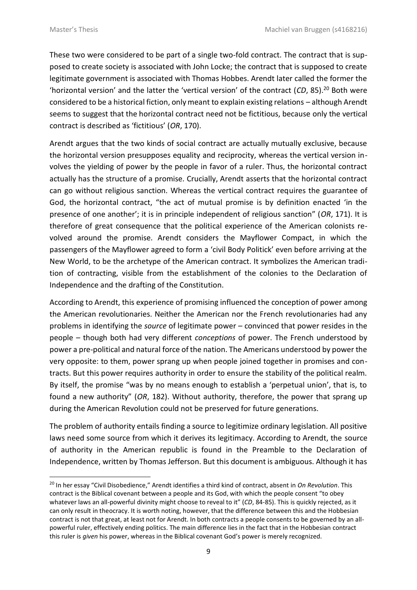$\overline{a}$ 

These two were considered to be part of a single two-fold contract. The contract that is supposed to create society is associated with John Locke; the contract that is supposed to create legitimate government is associated with Thomas Hobbes. Arendt later called the former the 'horizontal version' and the latter the 'vertical version' of the contract (CD, 85).<sup>20</sup> Both were considered to be a historical fiction, only meant to explain existing relations – although Arendt seems to suggest that the horizontal contract need not be fictitious, because only the vertical contract is described as 'fictitious' (*OR*, 170).

Arendt argues that the two kinds of social contract are actually mutually exclusive, because the horizontal version presupposes equality and reciprocity, whereas the vertical version involves the yielding of power by the people in favor of a ruler. Thus, the horizontal contract actually has the structure of a promise. Crucially, Arendt asserts that the horizontal contract can go without religious sanction. Whereas the vertical contract requires the guarantee of God, the horizontal contract, "the act of mutual promise is by definition enacted 'in the presence of one another'; it is in principle independent of religious sanction" (*OR*, 171). It is therefore of great consequence that the political experience of the American colonists revolved around the promise. Arendt considers the Mayflower Compact, in which the passengers of the Mayflower agreed to form a 'civil Body Politick' even before arriving at the New World, to be the archetype of the American contract. It symbolizes the American tradition of contracting, visible from the establishment of the colonies to the Declaration of Independence and the drafting of the Constitution.

According to Arendt, this experience of promising influenced the conception of power among the American revolutionaries. Neither the American nor the French revolutionaries had any problems in identifying the *source* of legitimate power – convinced that power resides in the people – though both had very different *conceptions* of power. The French understood by power a pre-political and natural force of the nation. The Americans understood by power the very opposite: to them, power sprang up when people joined together in promises and contracts. But this power requires authority in order to ensure the stability of the political realm. By itself, the promise "was by no means enough to establish a 'perpetual union', that is, to found a new authority" (*OR*, 182). Without authority, therefore, the power that sprang up during the American Revolution could not be preserved for future generations.

The problem of authority entails finding a source to legitimize ordinary legislation. All positive laws need some source from which it derives its legitimacy. According to Arendt, the source of authority in the American republic is found in the Preamble to the Declaration of Independence, written by Thomas Jefferson. But this document is ambiguous. Although it has

<sup>20</sup> In her essay "Civil Disobedience," Arendt identifies a third kind of contract, absent in *On Revolution*. This contract is the Biblical covenant between a people and its God, with which the people consent "to obey whatever laws an all-powerful divinity might choose to reveal to it" (*CD*, 84-85). This is quickly rejected, as it can only result in theocracy. It is worth noting, however, that the difference between this and the Hobbesian contract is not that great, at least not for Arendt. In both contracts a people consents to be governed by an allpowerful ruler, effectively ending politics. The main difference lies in the fact that in the Hobbesian contract this ruler is *given* his power, whereas in the Biblical covenant God's power is merely recognized.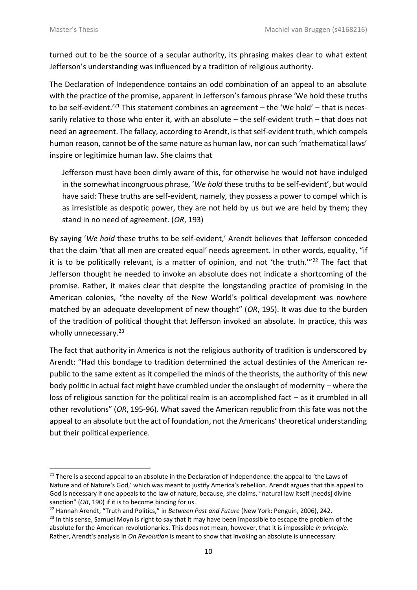1

turned out to be the source of a secular authority, its phrasing makes clear to what extent Jefferson's understanding was influenced by a tradition of religious authority.

The Declaration of Independence contains an odd combination of an appeal to an absolute with the practice of the promise, apparent in Jefferson's famous phrase 'We hold these truths to be self-evident.<sup>'21</sup> This statement combines an agreement – the 'We hold' – that is necessarily relative to those who enter it, with an absolute – the self-evident truth – that does not need an agreement. The fallacy, according to Arendt, is that self-evident truth, which compels human reason, cannot be of the same nature as human law, nor can such 'mathematical laws' inspire or legitimize human law. She claims that

Jefferson must have been dimly aware of this, for otherwise he would not have indulged in the somewhat incongruous phrase, '*We hold* these truths to be self-evident', but would have said: These truths are self-evident, namely, they possess a power to compel which is as irresistible as despotic power, they are not held by us but we are held by them; they stand in no need of agreement. (*OR*, 193)

By saying '*We hold* these truths to be self-evident,' Arendt believes that Jefferson conceded that the claim 'that all men are created equal' needs agreement. In other words, equality, "if it is to be politically relevant, is a matter of opinion, and not 'the truth." $22$  The fact that Jefferson thought he needed to invoke an absolute does not indicate a shortcoming of the promise. Rather, it makes clear that despite the longstanding practice of promising in the American colonies, "the novelty of the New World's political development was nowhere matched by an adequate development of new thought" (*OR*, 195). It was due to the burden of the tradition of political thought that Jefferson invoked an absolute. In practice, this was wholly unnecessary.<sup>23</sup>

The fact that authority in America is not the religious authority of tradition is underscored by Arendt: "Had this bondage to tradition determined the actual destinies of the American republic to the same extent as it compelled the minds of the theorists, the authority of this new body politic in actual fact might have crumbled under the onslaught of modernity – where the loss of religious sanction for the political realm is an accomplished fact – as it crumbled in all other revolutions" (*OR*, 195-96). What saved the American republic from this fate was not the appeal to an absolute but the act of foundation, not the Americans' theoretical understanding but their political experience.

 $21$  There is a second appeal to an absolute in the Declaration of Independence: the appeal to 'the Laws of Nature and of Nature's God,' which was meant to justify America's rebellion. Arendt argues that this appeal to God is necessary if one appeals to the law of nature, because, she claims, "natural law itself [needs] divine sanction" (*OR*, 190) if it is to become binding for us.

<sup>22</sup> Hannah Arendt, "Truth and Politics," in *Between Past and Future* (New York: Penguin, 2006), 242.

 $^{23}$  In this sense, Samuel Moyn is right to say that it may have been impossible to escape the problem of the absolute for the American revolutionaries. This does not mean, however, that it is impossible *in principle*. Rather, Arendt's analysis in *On Revolution* is meant to show that invoking an absolute is unnecessary.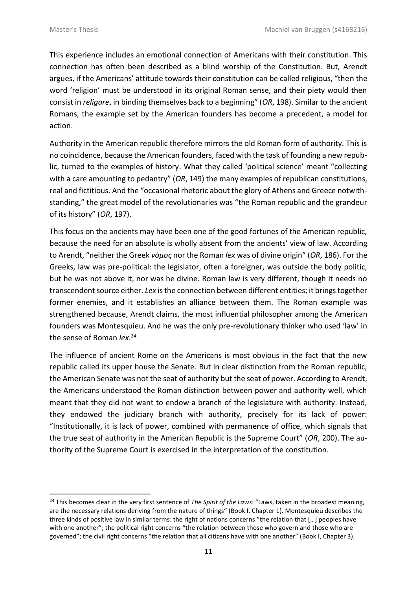$\overline{a}$ 

This experience includes an emotional connection of Americans with their constitution. This connection has often been described as a blind worship of the Constitution. But, Arendt argues, if the Americans' attitude towards their constitution can be called religious, "then the word 'religion' must be understood in its original Roman sense, and their piety would then consist in *religare*, in binding themselves back to a beginning" (*OR*, 198). Similar to the ancient Romans, the example set by the American founders has become a precedent, a model for action.

Authority in the American republic therefore mirrors the old Roman form of authority. This is no coincidence, because the American founders, faced with the task of founding a new republic, turned to the examples of history. What they called 'political science' meant "collecting with a care amounting to pedantry" (*OR*, 149) the many examples of republican constitutions, real and fictitious. And the "occasional rhetoric about the glory of Athens and Greece notwithstanding," the great model of the revolutionaries was "the Roman republic and the grandeur of its history" (*OR*, 197).

This focus on the ancients may have been one of the good fortunes of the American republic, because the need for an absolute is wholly absent from the ancients' view of law. According to Arendt, "neither the Greek *νόμος* nor the Roman *lex* was of divine origin" (*OR*, 186). For the Greeks, law was pre-political: the legislator, often a foreigner, was outside the body politic, but he was not above it, nor was he divine. Roman law is very different, though it needs no transcendent source either. *Lex* is the connection between different entities; it brings together former enemies, and it establishes an alliance between them. The Roman example was strengthened because, Arendt claims, the most influential philosopher among the American founders was Montesquieu. And he was the only pre-revolutionary thinker who used 'law' in the sense of Roman *lex*. 24

The influence of ancient Rome on the Americans is most obvious in the fact that the new republic called its upper house the Senate. But in clear distinction from the Roman republic, the American Senate was not the seat of authority but the seat of power. According to Arendt, the Americans understood the Roman distinction between power and authority well, which meant that they did not want to endow a branch of the legislature with authority. Instead, they endowed the judiciary branch with authority, precisely for its lack of power: "Institutionally, it is lack of power, combined with permanence of office, which signals that the true seat of authority in the American Republic is the Supreme Court" (*OR*, 200). The authority of the Supreme Court is exercised in the interpretation of the constitution.

<sup>24</sup> This becomes clear in the very first sentence of *The Spirit of the Laws*: "Laws, taken in the broadest meaning, are the necessary relations deriving from the nature of things" (Book I, Chapter 1). Montesquieu describes the three kinds of positive law in similar terms: the right of nations concerns "the relation that […] peoples have with one another"; the political right concerns "the relation between those who govern and those who are governed"; the civil right concerns "the relation that all citizens have with one another" (Book I, Chapter 3).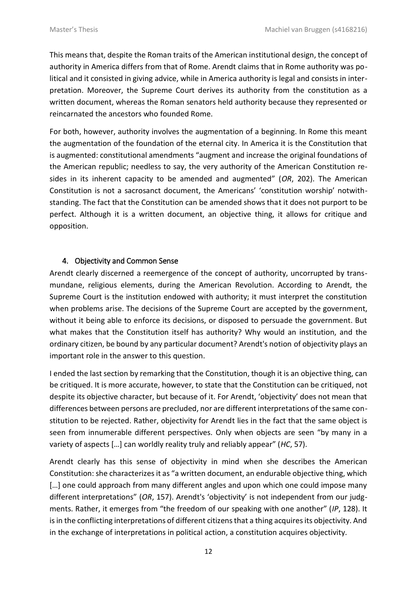This means that, despite the Roman traits of the American institutional design, the concept of authority in America differs from that of Rome. Arendt claims that in Rome authority was political and it consisted in giving advice, while in America authority is legal and consists in interpretation. Moreover, the Supreme Court derives its authority from the constitution as a written document, whereas the Roman senators held authority because they represented or reincarnated the ancestors who founded Rome.

For both, however, authority involves the augmentation of a beginning. In Rome this meant the augmentation of the foundation of the eternal city. In America it is the Constitution that is augmented: constitutional amendments "augment and increase the original foundations of the American republic; needless to say, the very authority of the American Constitution resides in its inherent capacity to be amended and augmented" (*OR*, 202). The American Constitution is not a sacrosanct document, the Americans' 'constitution worship' notwithstanding. The fact that the Constitution can be amended shows that it does not purport to be perfect. Although it is a written document, an objective thing, it allows for critique and opposition.

### 4. Objectivity and Common Sense

Arendt clearly discerned a reemergence of the concept of authority, uncorrupted by transmundane, religious elements, during the American Revolution. According to Arendt, the Supreme Court is the institution endowed with authority; it must interpret the constitution when problems arise. The decisions of the Supreme Court are accepted by the government, without it being able to enforce its decisions, or disposed to persuade the government. But what makes that the Constitution itself has authority? Why would an institution, and the ordinary citizen, be bound by any particular document? Arendt's notion of objectivity plays an important role in the answer to this question.

I ended the last section by remarking that the Constitution, though it is an objective thing, can be critiqued. It is more accurate, however, to state that the Constitution can be critiqued, not despite its objective character, but because of it. For Arendt, 'objectivity' does not mean that differences between persons are precluded, nor are different interpretations of the same constitution to be rejected. Rather, objectivity for Arendt lies in the fact that the same object is seen from innumerable different perspectives. Only when objects are seen "by many in a variety of aspects […] can worldly reality truly and reliably appear" (*HC*, 57).

Arendt clearly has this sense of objectivity in mind when she describes the American Constitution: she characterizes it as "a written document, an endurable objective thing, which [...] one could approach from many different angles and upon which one could impose many different interpretations" (*OR*, 157). Arendt's 'objectivity' is not independent from our judgments. Rather, it emerges from "the freedom of our speaking with one another" (*IP*, 128). It is in the conflicting interpretations of different citizens that a thing acquires its objectivity. And in the exchange of interpretations in political action, a constitution acquires objectivity.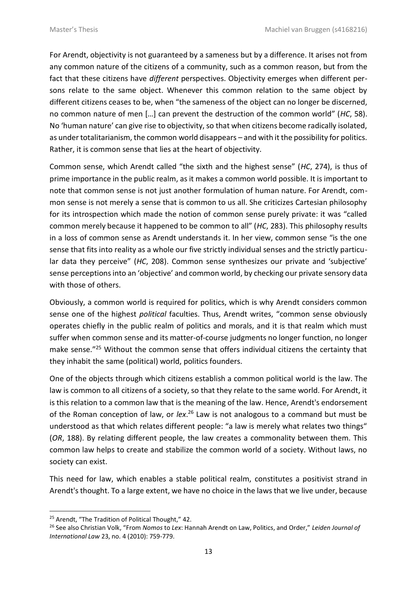For Arendt, objectivity is not guaranteed by a sameness but by a difference. It arises not from any common nature of the citizens of a community, such as a common reason, but from the fact that these citizens have *different* perspectives. Objectivity emerges when different persons relate to the same object. Whenever this common relation to the same object by different citizens ceases to be, when "the sameness of the object can no longer be discerned, no common nature of men […] can prevent the destruction of the common world" (*HC*, 58). No 'human nature' can give rise to objectivity, so that when citizens become radically isolated, as under totalitarianism, the common world disappears – and with it the possibility for politics. Rather, it is common sense that lies at the heart of objectivity.

Common sense, which Arendt called "the sixth and the highest sense" (*HC*, 274), is thus of prime importance in the public realm, as it makes a common world possible. It is important to note that common sense is not just another formulation of human nature. For Arendt, common sense is not merely a sense that is common to us all. She criticizes Cartesian philosophy for its introspection which made the notion of common sense purely private: it was "called common merely because it happened to be common to all" (*HC*, 283). This philosophy results in a loss of common sense as Arendt understands it. In her view, common sense "is the one sense that fits into reality as a whole our five strictly individual senses and the strictly particular data they perceive" (*HC*, 208). Common sense synthesizes our private and 'subjective' sense perceptions into an 'objective' and common world, by checking our private sensory data with those of others.

Obviously, a common world is required for politics, which is why Arendt considers common sense one of the highest *political* faculties. Thus, Arendt writes, "common sense obviously operates chiefly in the public realm of politics and morals, and it is that realm which must suffer when common sense and its matter-of-course judgments no longer function, no longer make sense."<sup>25</sup> Without the common sense that offers individual citizens the certainty that they inhabit the same (political) world, politics founders.

One of the objects through which citizens establish a common political world is the law. The law is common to all citizens of a society, so that they relate to the same world. For Arendt, it is this relation to a common law that is the meaning of the law. Hence, Arendt's endorsement of the Roman conception of law, or *lex*. <sup>26</sup> Law is not analogous to a command but must be understood as that which relates different people: "a law is merely what relates two things" (*OR*, 188). By relating different people, the law creates a commonality between them. This common law helps to create and stabilize the common world of a society. Without laws, no society can exist.

This need for law, which enables a stable political realm, constitutes a positivist strand in Arendt's thought. To a large extent, we have no choice in the laws that we live under, because

1

<sup>&</sup>lt;sup>25</sup> Arendt, "The Tradition of Political Thought," 42.

<sup>26</sup> See also Christian Volk, "From *Nomos* to *Lex*: Hannah Arendt on Law, Politics, and Order," *Leiden Journal of International Law* 23, no. 4 (2010): 759-779.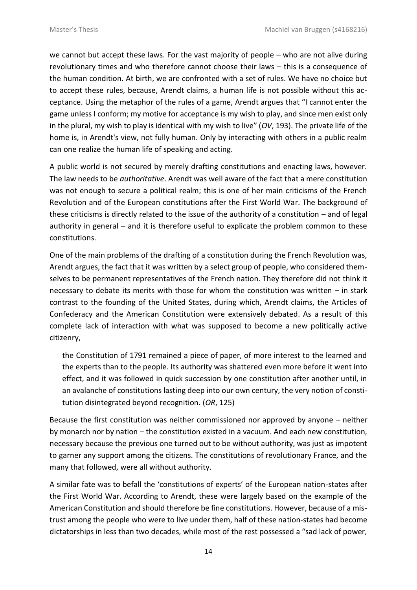we cannot but accept these laws. For the vast majority of people – who are not alive during revolutionary times and who therefore cannot choose their laws – this is a consequence of the human condition. At birth, we are confronted with a set of rules. We have no choice but to accept these rules, because, Arendt claims, a human life is not possible without this acceptance. Using the metaphor of the rules of a game, Arendt argues that "I cannot enter the game unless I conform; my motive for acceptance is my wish to play, and since men exist only in the plural, my wish to play is identical with my wish to live" (*OV*, 193). The private life of the home is, in Arendt's view, not fully human. Only by interacting with others in a public realm can one realize the human life of speaking and acting.

A public world is not secured by merely drafting constitutions and enacting laws, however. The law needs to be *authoritative*. Arendt was well aware of the fact that a mere constitution was not enough to secure a political realm; this is one of her main criticisms of the French Revolution and of the European constitutions after the First World War. The background of these criticisms is directly related to the issue of the authority of a constitution – and of legal authority in general – and it is therefore useful to explicate the problem common to these constitutions.

One of the main problems of the drafting of a constitution during the French Revolution was, Arendt argues, the fact that it was written by a select group of people, who considered themselves to be permanent representatives of the French nation. They therefore did not think it necessary to debate its merits with those for whom the constitution was written  $-$  in stark contrast to the founding of the United States, during which, Arendt claims, the Articles of Confederacy and the American Constitution were extensively debated. As a result of this complete lack of interaction with what was supposed to become a new politically active citizenry,

the Constitution of 1791 remained a piece of paper, of more interest to the learned and the experts than to the people. Its authority was shattered even more before it went into effect, and it was followed in quick succession by one constitution after another until, in an avalanche of constitutions lasting deep into our own century, the very notion of constitution disintegrated beyond recognition. (*OR*, 125)

Because the first constitution was neither commissioned nor approved by anyone – neither by monarch nor by nation – the constitution existed in a vacuum. And each new constitution, necessary because the previous one turned out to be without authority, was just as impotent to garner any support among the citizens. The constitutions of revolutionary France, and the many that followed, were all without authority.

A similar fate was to befall the 'constitutions of experts' of the European nation-states after the First World War. According to Arendt, these were largely based on the example of the American Constitution and should therefore be fine constitutions. However, because of a mistrust among the people who were to live under them, half of these nation-states had become dictatorships in less than two decades, while most of the rest possessed a "sad lack of power,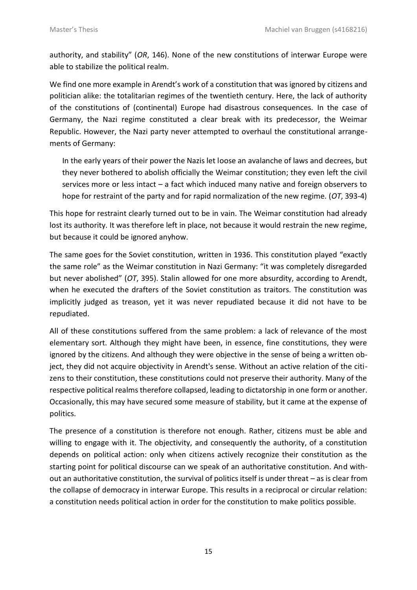authority, and stability" (*OR*, 146). None of the new constitutions of interwar Europe were able to stabilize the political realm.

We find one more example in Arendt's work of a constitution that was ignored by citizens and politician alike: the totalitarian regimes of the twentieth century. Here, the lack of authority of the constitutions of (continental) Europe had disastrous consequences. In the case of Germany, the Nazi regime constituted a clear break with its predecessor, the Weimar Republic. However, the Nazi party never attempted to overhaul the constitutional arrangements of Germany:

In the early years of their power the Nazis let loose an avalanche of laws and decrees, but they never bothered to abolish officially the Weimar constitution; they even left the civil services more or less intact – a fact which induced many native and foreign observers to hope for restraint of the party and for rapid normalization of the new regime. (*OT*, 393-4)

This hope for restraint clearly turned out to be in vain. The Weimar constitution had already lost its authority. It was therefore left in place, not because it would restrain the new regime, but because it could be ignored anyhow.

The same goes for the Soviet constitution, written in 1936. This constitution played "exactly the same role" as the Weimar constitution in Nazi Germany: "it was completely disregarded but never abolished" (*OT*, 395). Stalin allowed for one more absurdity, according to Arendt, when he executed the drafters of the Soviet constitution as traitors. The constitution was implicitly judged as treason, yet it was never repudiated because it did not have to be repudiated.

All of these constitutions suffered from the same problem: a lack of relevance of the most elementary sort. Although they might have been, in essence, fine constitutions, they were ignored by the citizens. And although they were objective in the sense of being a written object, they did not acquire objectivity in Arendt's sense. Without an active relation of the citizens to their constitution, these constitutions could not preserve their authority. Many of the respective political realms therefore collapsed, leading to dictatorship in one form or another. Occasionally, this may have secured some measure of stability, but it came at the expense of politics.

The presence of a constitution is therefore not enough. Rather, citizens must be able and willing to engage with it. The objectivity, and consequently the authority, of a constitution depends on political action: only when citizens actively recognize their constitution as the starting point for political discourse can we speak of an authoritative constitution. And without an authoritative constitution, the survival of politics itself is under threat – as is clear from the collapse of democracy in interwar Europe. This results in a reciprocal or circular relation: a constitution needs political action in order for the constitution to make politics possible.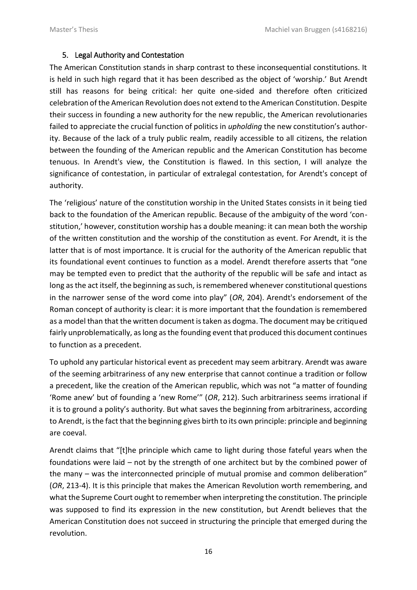#### 5. Legal Authority and Contestation

The American Constitution stands in sharp contrast to these inconsequential constitutions. It is held in such high regard that it has been described as the object of 'worship.' But Arendt still has reasons for being critical: her quite one-sided and therefore often criticized celebration of the American Revolution does not extend to the American Constitution. Despite their success in founding a new authority for the new republic, the American revolutionaries failed to appreciate the crucial function of politics in *upholding* the new constitution's authority. Because of the lack of a truly public realm, readily accessible to all citizens, the relation between the founding of the American republic and the American Constitution has become tenuous. In Arendt's view, the Constitution is flawed. In this section, I will analyze the significance of contestation, in particular of extralegal contestation, for Arendt's concept of authority.

The 'religious' nature of the constitution worship in the United States consists in it being tied back to the foundation of the American republic. Because of the ambiguity of the word 'constitution,' however, constitution worship has a double meaning: it can mean both the worship of the written constitution and the worship of the constitution as event. For Arendt, it is the latter that is of most importance. It is crucial for the authority of the American republic that its foundational event continues to function as a model. Arendt therefore asserts that "one may be tempted even to predict that the authority of the republic will be safe and intact as long as the act itself, the beginning as such, is remembered whenever constitutional questions in the narrower sense of the word come into play" (*OR*, 204). Arendt's endorsement of the Roman concept of authority is clear: it is more important that the foundation is remembered as a model than that the written document is taken as dogma. The document may be critiqued fairly unproblematically, as long as the founding event that produced this document continues to function as a precedent.

To uphold any particular historical event as precedent may seem arbitrary. Arendt was aware of the seeming arbitrariness of any new enterprise that cannot continue a tradition or follow a precedent, like the creation of the American republic, which was not "a matter of founding 'Rome anew' but of founding a 'new Rome'" (*OR*, 212). Such arbitrariness seems irrational if it is to ground a polity's authority. But what saves the beginning from arbitrariness, according to Arendt, is the fact that the beginning gives birth to its own principle: principle and beginning are coeval.

Arendt claims that "[t]he principle which came to light during those fateful years when the foundations were laid – not by the strength of one architect but by the combined power of the many – was the interconnected principle of mutual promise and common deliberation" (*OR*, 213-4). It is this principle that makes the American Revolution worth remembering, and what the Supreme Court ought to remember when interpreting the constitution. The principle was supposed to find its expression in the new constitution, but Arendt believes that the American Constitution does not succeed in structuring the principle that emerged during the revolution.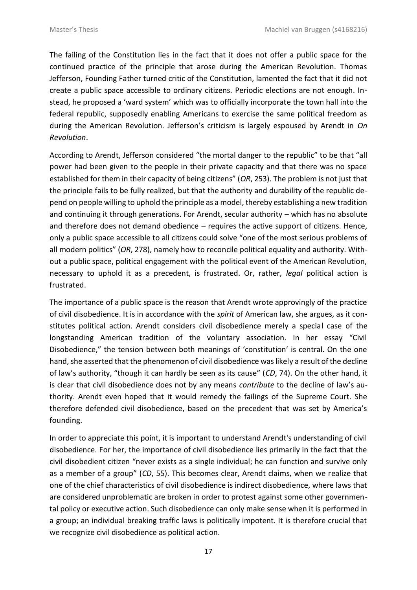The failing of the Constitution lies in the fact that it does not offer a public space for the continued practice of the principle that arose during the American Revolution. Thomas Jefferson, Founding Father turned critic of the Constitution, lamented the fact that it did not create a public space accessible to ordinary citizens. Periodic elections are not enough. Instead, he proposed a 'ward system' which was to officially incorporate the town hall into the federal republic, supposedly enabling Americans to exercise the same political freedom as during the American Revolution. Jefferson's criticism is largely espoused by Arendt in *On Revolution*.

According to Arendt, Jefferson considered "the mortal danger to the republic" to be that "all power had been given to the people in their private capacity and that there was no space established for them in their capacity of being citizens" (*OR*, 253). The problem is not just that the principle fails to be fully realized, but that the authority and durability of the republic depend on people willing to uphold the principle as a model, thereby establishing a new tradition and continuing it through generations. For Arendt, secular authority – which has no absolute and therefore does not demand obedience – requires the active support of citizens. Hence, only a public space accessible to all citizens could solve "one of the most serious problems of all modern politics" (*OR*, 278), namely how to reconcile political equality and authority. Without a public space, political engagement with the political event of the American Revolution, necessary to uphold it as a precedent, is frustrated. Or, rather, *legal* political action is frustrated.

The importance of a public space is the reason that Arendt wrote approvingly of the practice of civil disobedience. It is in accordance with the *spirit* of American law, she argues, as it constitutes political action. Arendt considers civil disobedience merely a special case of the longstanding American tradition of the voluntary association. In her essay "Civil Disobedience," the tension between both meanings of 'constitution' is central. On the one hand, she asserted that the phenomenon of civil disobedience was likely a result of the decline of law's authority, "though it can hardly be seen as its cause" (*CD*, 74). On the other hand, it is clear that civil disobedience does not by any means *contribute* to the decline of law's authority. Arendt even hoped that it would remedy the failings of the Supreme Court. She therefore defended civil disobedience, based on the precedent that was set by America's founding.

In order to appreciate this point, it is important to understand Arendt's understanding of civil disobedience. For her, the importance of civil disobedience lies primarily in the fact that the civil disobedient citizen "never exists as a single individual; he can function and survive only as a member of a group" (*CD*, 55). This becomes clear, Arendt claims, when we realize that one of the chief characteristics of civil disobedience is indirect disobedience, where laws that are considered unproblematic are broken in order to protest against some other governmental policy or executive action. Such disobedience can only make sense when it is performed in a group; an individual breaking traffic laws is politically impotent. It is therefore crucial that we recognize civil disobedience as political action.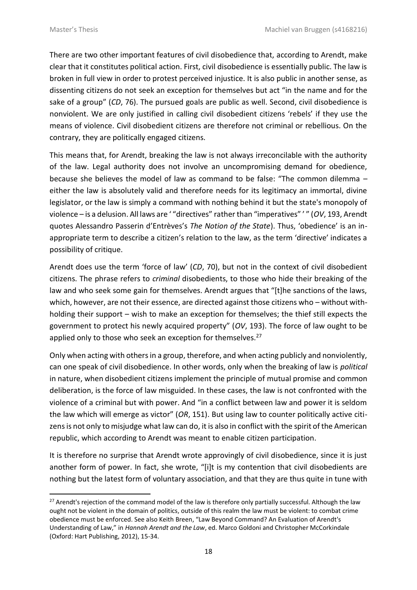$\overline{a}$ 

There are two other important features of civil disobedience that, according to Arendt, make clear that it constitutes political action. First, civil disobedience is essentially public. The law is broken in full view in order to protest perceived injustice. It is also public in another sense, as dissenting citizens do not seek an exception for themselves but act "in the name and for the sake of a group" (*CD*, 76). The pursued goals are public as well. Second, civil disobedience is nonviolent. We are only justified in calling civil disobedient citizens 'rebels' if they use the means of violence. Civil disobedient citizens are therefore not criminal or rebellious. On the contrary, they are politically engaged citizens.

This means that, for Arendt, breaking the law is not always irreconcilable with the authority of the law. Legal authority does not involve an uncompromising demand for obedience, because she believes the model of law as command to be false: "The common dilemma – either the law is absolutely valid and therefore needs for its legitimacy an immortal, divine legislator, or the law is simply a command with nothing behind it but the state's monopoly of violence – is a delusion. All laws are ' "directives" rather than "imperatives" ' " (*OV*, 193, Arendt quotes Alessandro Passerin d'Entrèves's *The Notion of the State*). Thus, 'obedience' is an inappropriate term to describe a citizen's relation to the law, as the term 'directive' indicates a possibility of critique.

Arendt does use the term 'force of law' (*CD*, 70), but not in the context of civil disobedient citizens. The phrase refers to *criminal* disobedients, to those who hide their breaking of the law and who seek some gain for themselves. Arendt argues that "[t]he sanctions of the laws, which, however, are not their essence, are directed against those citizens who – without withholding their support – wish to make an exception for themselves; the thief still expects the government to protect his newly acquired property" (*OV*, 193). The force of law ought to be applied only to those who seek an exception for themselves.<sup>27</sup>

Only when acting with others in a group, therefore, and when acting publicly and nonviolently, can one speak of civil disobedience. In other words, only when the breaking of law is *political* in nature, when disobedient citizens implement the principle of mutual promise and common deliberation, is the force of law misguided. In these cases, the law is not confronted with the violence of a criminal but with power. And "in a conflict between law and power it is seldom the law which will emerge as victor" (*OR*, 151). But using law to counter politically active citizens is not only to misjudge what law can do, it is also in conflict with the spirit of the American republic, which according to Arendt was meant to enable citizen participation.

It is therefore no surprise that Arendt wrote approvingly of civil disobedience, since it is just another form of power. In fact, she wrote, "[i]t is my contention that civil disobedients are nothing but the latest form of voluntary association, and that they are thus quite in tune with

<sup>&</sup>lt;sup>27</sup> Arendt's rejection of the command model of the law is therefore only partially successful. Although the law ought not be violent in the domain of politics, outside of this realm the law must be violent: to combat crime obedience must be enforced. See also Keith Breen, "Law Beyond Command? An Evaluation of Arendt's Understanding of Law," in *Hannah Arendt and the Law*, ed. Marco Goldoni and Christopher McCorkindale (Oxford: Hart Publishing, 2012), 15-34.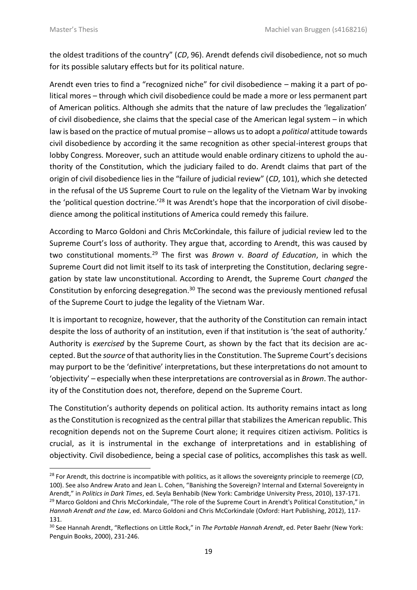1

the oldest traditions of the country" (*CD*, 96). Arendt defends civil disobedience, not so much for its possible salutary effects but for its political nature.

Arendt even tries to find a "recognized niche" for civil disobedience – making it a part of political mores – through which civil disobedience could be made a more or less permanent part of American politics. Although she admits that the nature of law precludes the 'legalization' of civil disobedience, she claims that the special case of the American legal system – in which law is based on the practice of mutual promise – allows us to adopt a *political* attitude towards civil disobedience by according it the same recognition as other special-interest groups that lobby Congress. Moreover, such an attitude would enable ordinary citizens to uphold the authority of the Constitution, which the judiciary failed to do. Arendt claims that part of the origin of civil disobedience lies in the "failure of judicial review" (*CD*, 101), which she detected in the refusal of the US Supreme Court to rule on the legality of the Vietnam War by invoking the 'political question doctrine.'<sup>28</sup> It was Arendt's hope that the incorporation of civil disobedience among the political institutions of America could remedy this failure.

According to Marco Goldoni and Chris McCorkindale, this failure of judicial review led to the Supreme Court's loss of authority. They argue that, according to Arendt, this was caused by two constitutional moments.<sup>29</sup> The first was *Brown* v. *Board of Education*, in which the Supreme Court did not limit itself to its task of interpreting the Constitution, declaring segregation by state law unconstitutional. According to Arendt, the Supreme Court *changed* the Constitution by enforcing desegregation.<sup>30</sup> The second was the previously mentioned refusal of the Supreme Court to judge the legality of the Vietnam War.

It is important to recognize, however, that the authority of the Constitution can remain intact despite the loss of authority of an institution, even if that institution is 'the seat of authority.' Authority is *exercised* by the Supreme Court, as shown by the fact that its decision are accepted. But the *source* of that authority lies in the Constitution. The Supreme Court's decisions may purport to be the 'definitive' interpretations, but these interpretations do not amount to 'objectivity' – especially when these interpretations are controversial as in *Brown*. The authority of the Constitution does not, therefore, depend on the Supreme Court.

The Constitution's authority depends on political action. Its authority remains intact as long as the Constitution is recognized as the central pillar that stabilizes the American republic. This recognition depends not on the Supreme Court alone; it requires citizen activism. Politics is crucial, as it is instrumental in the exchange of interpretations and in establishing of objectivity. Civil disobedience, being a special case of politics, accomplishes this task as well.

<sup>28</sup> For Arendt, this doctrine is incompatible with politics, as it allows the sovereignty principle to reemerge (*CD*, 100). See also Andrew Arato and Jean L. Cohen, "Banishing the Sovereign? Internal and External Sovereignty in Arendt," in *Politics in Dark Times*, ed. Seyla Benhabib (New York: Cambridge University Press, 2010), 137-171. <sup>29</sup> Marco Goldoni and Chris McCorkindale, "The role of the Supreme Court in Arendt's Political Constitution," in *Hannah Arendt and the Law*, ed. Marco Goldoni and Chris McCorkindale (Oxford: Hart Publishing, 2012), 117- 131.

<sup>30</sup> See Hannah Arendt, "Reflections on Little Rock," in *The Portable Hannah Arendt*, ed. Peter Baehr (New York: Penguin Books, 2000), 231-246.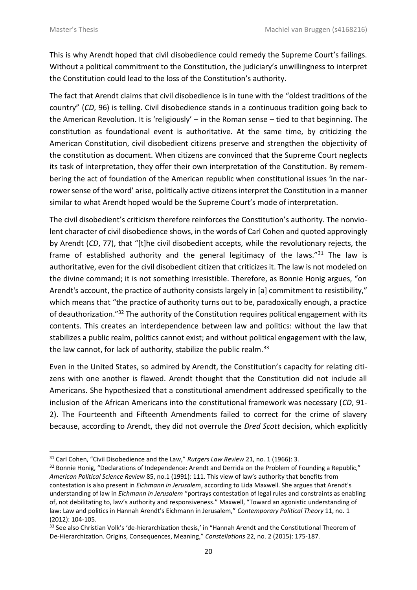1

This is why Arendt hoped that civil disobedience could remedy the Supreme Court's failings. Without a political commitment to the Constitution, the judiciary's unwillingness to interpret the Constitution could lead to the loss of the Constitution's authority.

The fact that Arendt claims that civil disobedience is in tune with the "oldest traditions of the country" (*CD*, 96) is telling. Civil disobedience stands in a continuous tradition going back to the American Revolution. It is 'religiously' – in the Roman sense – tied to that beginning. The constitution as foundational event is authoritative. At the same time, by criticizing the American Constitution, civil disobedient citizens preserve and strengthen the objectivity of the constitution as document. When citizens are convinced that the Supreme Court neglects its task of interpretation, they offer their own interpretation of the Constitution. By remembering the act of foundation of the American republic when constitutional issues 'in the narrower sense of the word' arise, politically active citizens interpret the Constitution in a manner similar to what Arendt hoped would be the Supreme Court's mode of interpretation.

The civil disobedient's criticism therefore reinforces the Constitution's authority. The nonviolent character of civil disobedience shows, in the words of Carl Cohen and quoted approvingly by Arendt (*CD*, 77), that "[t]he civil disobedient accepts, while the revolutionary rejects, the frame of established authority and the general legitimacy of the laws."<sup>31</sup> The law is authoritative, even for the civil disobedient citizen that criticizes it. The law is not modeled on the divine command; it is not something irresistible. Therefore, as Bonnie Honig argues, "on Arendt's account, the practice of authority consists largely in [a] commitment to resistibility," which means that "the practice of authority turns out to be, paradoxically enough, a practice of deauthorization."<sup>32</sup> The authority of the Constitution requires political engagement with its contents. This creates an interdependence between law and politics: without the law that stabilizes a public realm, politics cannot exist; and without political engagement with the law, the law cannot, for lack of authority, stabilize the public realm.<sup>33</sup>

Even in the United States, so admired by Arendt, the Constitution's capacity for relating citizens with one another is flawed. Arendt thought that the Constitution did not include all Americans. She hypothesized that a constitutional amendment addressed specifically to the inclusion of the African Americans into the constitutional framework was necessary (*CD*, 91- 2). The Fourteenth and Fifteenth Amendments failed to correct for the crime of slavery because, according to Arendt, they did not overrule the *Dred Scott* decision, which explicitly

<sup>31</sup> Carl Cohen, "Civil Disobedience and the Law," *Rutgers Law Review* 21, no. 1 (1966): 3.

<sup>&</sup>lt;sup>32</sup> Bonnie Honig, "Declarations of Independence: Arendt and Derrida on the Problem of Founding a Republic," *American Political Science Review* 85, no.1 (1991): 111. This view of law's authority that benefits from contestation is also present in *Eichmann in Jerusalem*, according to Lida Maxwell. She argues that Arendt's understanding of law in *Eichmann in Jerusalem* "portrays contestation of legal rules and constraints as enabling of, not debilitating to, law's authority and responsiveness." Maxwell, "Toward an agonistic understanding of law: Law and politics in Hannah Arendt's Eichmann in Jerusalem," *Contemporary Political Theory* 11, no. 1 (2012): 104-105.

<sup>&</sup>lt;sup>33</sup> See also Christian Volk's 'de-hierarchization thesis,' in "Hannah Arendt and the Constitutional Theorem of De-Hierarchization. Origins, Consequences, Meaning," *Constellations* 22, no. 2 (2015): 175-187.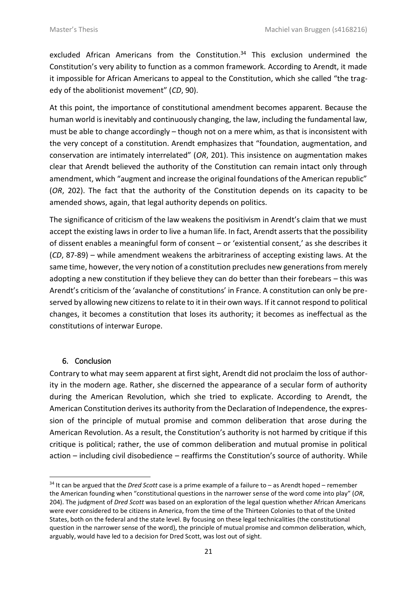excluded African Americans from the Constitution.<sup>34</sup> This exclusion undermined the Constitution's very ability to function as a common framework. According to Arendt, it made it impossible for African Americans to appeal to the Constitution, which she called "the tragedy of the abolitionist movement" (*CD*, 90).

At this point, the importance of constitutional amendment becomes apparent. Because the human world is inevitably and continuously changing, the law, including the fundamental law, must be able to change accordingly – though not on a mere whim, as that is inconsistent with the very concept of a constitution. Arendt emphasizes that "foundation, augmentation, and conservation are intimately interrelated" (*OR*, 201). This insistence on augmentation makes clear that Arendt believed the authority of the Constitution can remain intact only through amendment, which "augment and increase the original foundations of the American republic" (*OR*, 202). The fact that the authority of the Constitution depends on its capacity to be amended shows, again, that legal authority depends on politics.

The significance of criticism of the law weakens the positivism in Arendt's claim that we must accept the existing laws in order to live a human life. In fact, Arendt asserts that the possibility of dissent enables a meaningful form of consent – or 'existential consent,' as she describes it (*CD*, 87-89) – while amendment weakens the arbitrariness of accepting existing laws. At the same time, however, the very notion of a constitution precludes new generations from merely adopting a new constitution if they believe they can do better than their forebears – this was Arendt's criticism of the 'avalanche of constitutions' in France. A constitution can only be preserved by allowing new citizens to relate to it in their own ways. If it cannot respond to political changes, it becomes a constitution that loses its authority; it becomes as ineffectual as the constitutions of interwar Europe.

# 6. Conclusion

 $\overline{a}$ 

Contrary to what may seem apparent at first sight, Arendt did not proclaim the loss of authority in the modern age. Rather, she discerned the appearance of a secular form of authority during the American Revolution, which she tried to explicate. According to Arendt, the American Constitution derives its authority from the Declaration of Independence, the expression of the principle of mutual promise and common deliberation that arose during the American Revolution. As a result, the Constitution's authority is not harmed by critique if this critique is political; rather, the use of common deliberation and mutual promise in political action – including civil disobedience – reaffirms the Constitution's source of authority. While

<sup>34</sup> It can be argued that the *Dred Scott* case is a prime example of a failure to – as Arendt hoped – remember the American founding when "constitutional questions in the narrower sense of the word come into play" (*OR*, 204). The judgment of *Dred Scott* was based on an exploration of the legal question whether African Americans were ever considered to be citizens in America, from the time of the Thirteen Colonies to that of the United States, both on the federal and the state level. By focusing on these legal technicalities (the constitutional question in the narrower sense of the word), the principle of mutual promise and common deliberation, which, arguably, would have led to a decision for Dred Scott, was lost out of sight.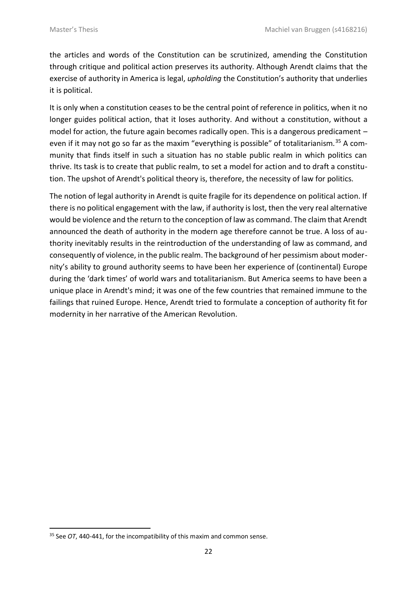the articles and words of the Constitution can be scrutinized, amending the Constitution through critique and political action preserves its authority. Although Arendt claims that the exercise of authority in America is legal, *upholding* the Constitution's authority that underlies it is political.

It is only when a constitution ceases to be the central point of reference in politics, when it no longer guides political action, that it loses authority. And without a constitution, without a model for action, the future again becomes radically open. This is a dangerous predicament  $$ even if it may not go so far as the maxim "everything is possible" of totalitarianism.<sup>35</sup> A community that finds itself in such a situation has no stable public realm in which politics can thrive. Its task is to create that public realm, to set a model for action and to draft a constitution. The upshot of Arendt's political theory is, therefore, the necessity of law for politics.

The notion of legal authority in Arendt is quite fragile for its dependence on political action. If there is no political engagement with the law, if authority is lost, then the very real alternative would be violence and the return to the conception of law as command. The claim that Arendt announced the death of authority in the modern age therefore cannot be true. A loss of authority inevitably results in the reintroduction of the understanding of law as command, and consequently of violence, in the public realm. The background of her pessimism about modernity's ability to ground authority seems to have been her experience of (continental) Europe during the 'dark times' of world wars and totalitarianism. But America seems to have been a unique place in Arendt's mind; it was one of the few countries that remained immune to the failings that ruined Europe. Hence, Arendt tried to formulate a conception of authority fit for modernity in her narrative of the American Revolution.

1

<sup>&</sup>lt;sup>35</sup> See *OT*, 440-441, for the incompatibility of this maxim and common sense.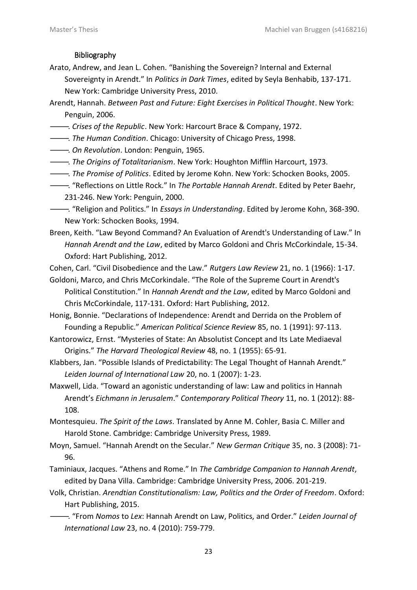### Bibliography

- Arato, Andrew, and Jean L. Cohen. "Banishing the Sovereign? Internal and External Sovereignty in Arendt." In *Politics in Dark Times*, edited by Seyla Benhabib, 137-171. New York: Cambridge University Press, 2010.
- Arendt, Hannah. *Between Past and Future: Eight Exercises in Political Thought*. New York: Penguin, 2006.
- ———. *Crises of the Republic*. New York: Harcourt Brace & Company, 1972.
- ———. *The Human Condition*. Chicago: University of Chicago Press, 1998.
- ———. *On Revolution*. London: Penguin, 1965.
- ———. *The Origins of Totalitarianism*. New York: Houghton Mifflin Harcourt, 1973.
- ———. *The Promise of Politics*. Edited by Jerome Kohn. New York: Schocken Books, 2005.
- ———. "Reflections on Little Rock." In *The Portable Hannah Arendt*. Edited by Peter Baehr, 231-246. New York: Penguin, 2000.

———. "Religion and Politics." In *Essays in Understanding*. Edited by Jerome Kohn, 368-390. New York: Schocken Books, 1994.

Breen, Keith. "Law Beyond Command? An Evaluation of Arendt's Understanding of Law." In *Hannah Arendt and the Law*, edited by Marco Goldoni and Chris McCorkindale, 15-34. Oxford: Hart Publishing, 2012.

Cohen, Carl. "Civil Disobedience and the Law." *Rutgers Law Review* 21, no. 1 (1966): 1-17. Goldoni, Marco, and Chris McCorkindale. "The Role of the Supreme Court in Arendt's

Political Constitution." In *Hannah Arendt and the Law*, edited by Marco Goldoni and Chris McCorkindale, 117-131. Oxford: Hart Publishing, 2012.

Honig, Bonnie. "Declarations of Independence: Arendt and Derrida on the Problem of Founding a Republic." *American Political Science Review* 85, no. 1 (1991): 97-113.

Kantorowicz, Ernst. "Mysteries of State: An Absolutist Concept and Its Late Mediaeval Origins." *The Harvard Theological Review* 48, no. 1 (1955): 65-91.

Klabbers, Jan. "Possible Islands of Predictability: The Legal Thought of Hannah Arendt." *Leiden Journal of International Law* 20, no. 1 (2007): 1-23.

Maxwell, Lida. "Toward an agonistic understanding of law: Law and politics in Hannah Arendt's *Eichmann in Jerusalem*." *Contemporary Political Theory* 11, no. 1 (2012): 88- 108.

Montesquieu. *The Spirit of the Laws*. Translated by Anne M. Cohler, Basia C. Miller and Harold Stone. Cambridge: Cambridge University Press, 1989.

- Moyn, Samuel. "Hannah Arendt on the Secular." *New German Critique* 35, no. 3 (2008): 71- 96.
- Taminiaux, Jacques. "Athens and Rome." In *The Cambridge Companion to Hannah Arendt*, edited by Dana Villa. Cambridge: Cambridge University Press, 2006. 201-219.
- Volk, Christian. *Arendtian Constitutionalism: Law, Politics and the Order of Freedom*. Oxford: Hart Publishing, 2015.
- ———. "From *Nomos* to *Lex*: Hannah Arendt on Law, Politics, and Order." *Leiden Journal of International Law* 23, no. 4 (2010): 759-779.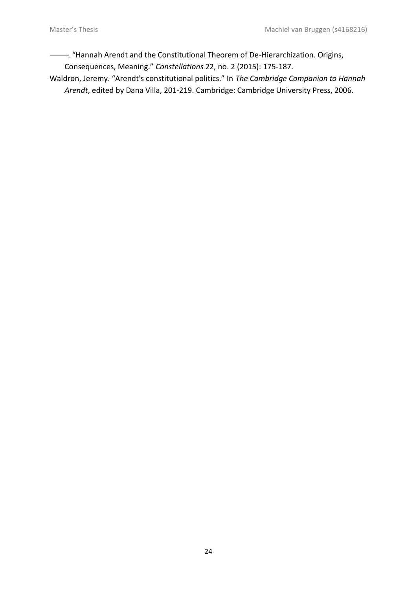———. "Hannah Arendt and the Constitutional Theorem of De-Hierarchization. Origins,

Consequences, Meaning." *Constellations* 22, no. 2 (2015): 175-187.

Waldron, Jeremy. "Arendt's constitutional politics." In *The Cambridge Companion to Hannah Arendt*, edited by Dana Villa, 201-219. Cambridge: Cambridge University Press, 2006.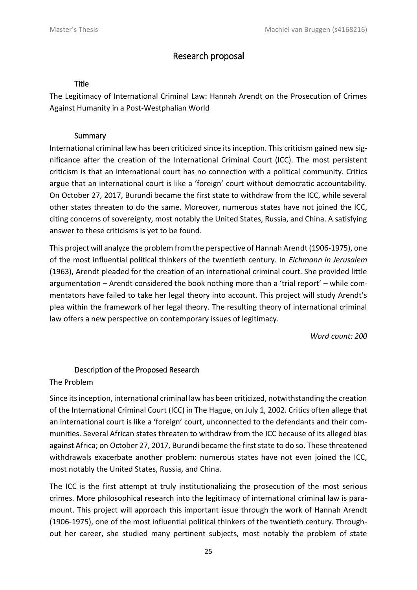# Research proposal

#### Title

The Legitimacy of International Criminal Law: Hannah Arendt on the Prosecution of Crimes Against Humanity in a Post-Westphalian World

### Summary

International criminal law has been criticized since its inception. This criticism gained new significance after the creation of the International Criminal Court (ICC). The most persistent criticism is that an international court has no connection with a political community. Critics argue that an international court is like a 'foreign' court without democratic accountability. On October 27, 2017, Burundi became the first state to withdraw from the ICC, while several other states threaten to do the same. Moreover, numerous states have not joined the ICC, citing concerns of sovereignty, most notably the United States, Russia, and China. A satisfying answer to these criticisms is yet to be found.

This project will analyze the problem from the perspective of Hannah Arendt (1906-1975), one of the most influential political thinkers of the twentieth century. In *Eichmann in Jerusalem* (1963), Arendt pleaded for the creation of an international criminal court. She provided little argumentation – Arendt considered the book nothing more than a 'trial report' – while commentators have failed to take her legal theory into account. This project will study Arendt's plea within the framework of her legal theory. The resulting theory of international criminal law offers a new perspective on contemporary issues of legitimacy.

*Word count: 200*

# Description of the Proposed Research

#### The Problem

Since its inception, international criminal law has been criticized, notwithstanding the creation of the International Criminal Court (ICC) in The Hague, on July 1, 2002. Critics often allege that an international court is like a 'foreign' court, unconnected to the defendants and their communities. Several African states threaten to withdraw from the ICC because of its alleged bias against Africa; on October 27, 2017, Burundi became the first state to do so. These threatened withdrawals exacerbate another problem: numerous states have not even joined the ICC, most notably the United States, Russia, and China.

The ICC is the first attempt at truly institutionalizing the prosecution of the most serious crimes. More philosophical research into the legitimacy of international criminal law is paramount. This project will approach this important issue through the work of Hannah Arendt (1906-1975), one of the most influential political thinkers of the twentieth century. Throughout her career, she studied many pertinent subjects, most notably the problem of state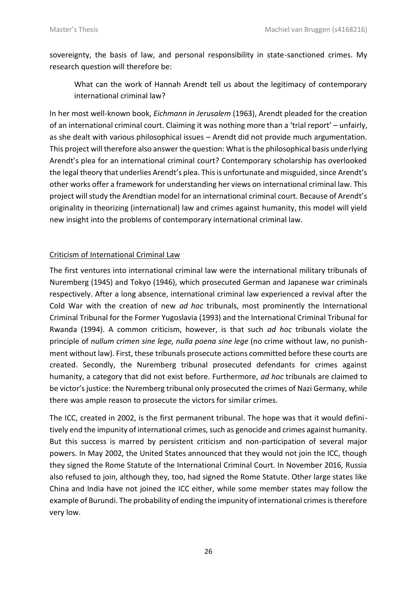sovereignty, the basis of law, and personal responsibility in state-sanctioned crimes. My research question will therefore be:

What can the work of Hannah Arendt tell us about the legitimacy of contemporary international criminal law?

In her most well-known book, *Eichmann in Jerusalem* (1963), Arendt pleaded for the creation of an international criminal court. Claiming it was nothing more than a 'trial report' – unfairly, as she dealt with various philosophical issues – Arendt did not provide much argumentation. This project will therefore also answer the question: What is the philosophical basis underlying Arendt's plea for an international criminal court? Contemporary scholarship has overlooked the legal theory that underlies Arendt's plea. This is unfortunate and misguided, since Arendt's other works offer a framework for understanding her views on international criminal law. This project will study the Arendtian model for an international criminal court. Because of Arendt's originality in theorizing (international) law and crimes against humanity, this model will yield new insight into the problems of contemporary international criminal law.

# Criticism of International Criminal Law

The first ventures into international criminal law were the international military tribunals of Nuremberg (1945) and Tokyo (1946), which prosecuted German and Japanese war criminals respectively. After a long absence, international criminal law experienced a revival after the Cold War with the creation of new *ad hoc* tribunals, most prominently the International Criminal Tribunal for the Former Yugoslavia (1993) and the International Criminal Tribunal for Rwanda (1994). A common criticism, however, is that such *ad hoc* tribunals violate the principle of *nullum crimen sine lege, nulla poena sine lege* (no crime without law, no punishment without law). First, these tribunals prosecute actions committed before these courts are created. Secondly, the Nuremberg tribunal prosecuted defendants for crimes against humanity, a category that did not exist before. Furthermore, *ad hoc* tribunals are claimed to be victor's justice: the Nuremberg tribunal only prosecuted the crimes of Nazi Germany, while there was ample reason to prosecute the victors for similar crimes.

The ICC, created in 2002, is the first permanent tribunal. The hope was that it would definitively end the impunity of international crimes, such as genocide and crimes against humanity. But this success is marred by persistent criticism and non-participation of several major powers. In May 2002, the United States announced that they would not join the ICC, though they signed the Rome Statute of the International Criminal Court. In November 2016, Russia also refused to join, although they, too, had signed the Rome Statute. Other large states like China and India have not joined the ICC either, while some member states may follow the example of Burundi. The probability of ending the impunity of international crimes is therefore very low.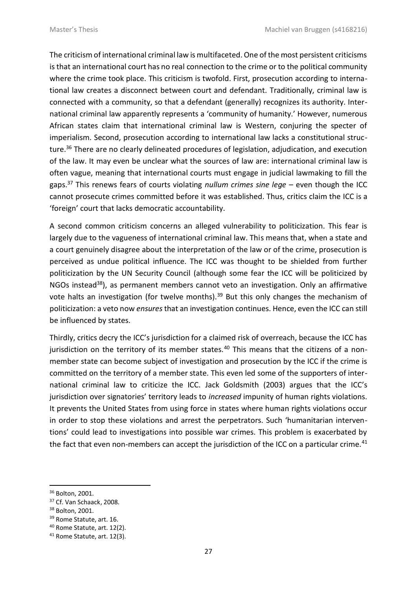The criticism of international criminal law is multifaceted. One of the most persistent criticisms is that an international court has no real connection to the crime or to the political community where the crime took place. This criticism is twofold. First, prosecution according to international law creates a disconnect between court and defendant. Traditionally, criminal law is connected with a community, so that a defendant (generally) recognizes its authority. International criminal law apparently represents a 'community of humanity.' However, numerous African states claim that international criminal law is Western, conjuring the specter of imperialism. Second, prosecution according to international law lacks a constitutional structure.<sup>36</sup> There are no clearly delineated procedures of legislation, adjudication, and execution of the law. It may even be unclear what the sources of law are: international criminal law is often vague, meaning that international courts must engage in judicial lawmaking to fill the gaps.<sup>37</sup> This renews fears of courts violating *nullum crimes sine lege* – even though the ICC cannot prosecute crimes committed before it was established. Thus, critics claim the ICC is a 'foreign' court that lacks democratic accountability.

A second common criticism concerns an alleged vulnerability to politicization. This fear is largely due to the vagueness of international criminal law. This means that, when a state and a court genuinely disagree about the interpretation of the law or of the crime, prosecution is perceived as undue political influence. The ICC was thought to be shielded from further politicization by the UN Security Council (although some fear the ICC will be politicized by NGOs instead<sup>38</sup>), as permanent members cannot veto an investigation. Only an affirmative vote halts an investigation (for twelve months).<sup>39</sup> But this only changes the mechanism of politicization: a veto now *ensures* that an investigation continues. Hence, even the ICC can still be influenced by states.

Thirdly, critics decry the ICC's jurisdiction for a claimed risk of overreach, because the ICC has jurisdiction on the territory of its member states.<sup>40</sup> This means that the citizens of a nonmember state can become subject of investigation and prosecution by the ICC if the crime is committed on the territory of a member state. This even led some of the supporters of international criminal law to criticize the ICC. Jack Goldsmith (2003) argues that the ICC's jurisdiction over signatories' territory leads to *increased* impunity of human rights violations. It prevents the United States from using force in states where human rights violations occur in order to stop these violations and arrest the perpetrators. Such 'humanitarian interventions' could lead to investigations into possible war crimes. This problem is exacerbated by the fact that even non-members can accept the jurisdiction of the ICC on a particular crime.<sup>41</sup>

1

<sup>36</sup> Bolton, 2001.

<sup>&</sup>lt;sup>37</sup> Cf. Van Schaack, 2008.

<sup>38</sup> Bolton, 2001.

<sup>&</sup>lt;sup>39</sup> Rome Statute, art. 16.

<sup>40</sup> Rome Statute, art. 12(2).

<sup>&</sup>lt;sup>41</sup> Rome Statute, art. 12(3).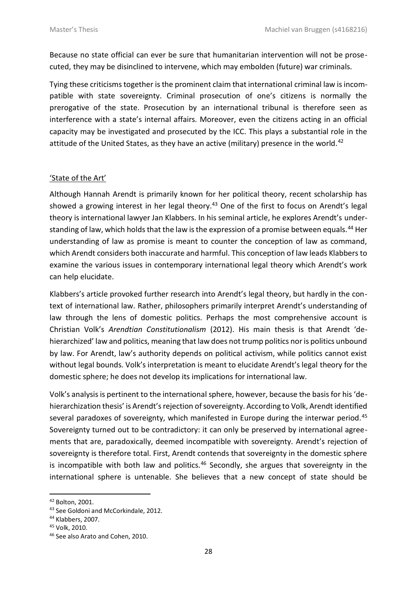Because no state official can ever be sure that humanitarian intervention will not be prosecuted, they may be disinclined to intervene, which may embolden (future) war criminals.

Tying these criticisms together is the prominent claim that international criminal law is incompatible with state sovereignty. Criminal prosecution of one's citizens is normally the prerogative of the state. Prosecution by an international tribunal is therefore seen as interference with a state's internal affairs. Moreover, even the citizens acting in an official capacity may be investigated and prosecuted by the ICC. This plays a substantial role in the attitude of the United States, as they have an active (military) presence in the world.<sup>42</sup>

### 'State of the Art'

Although Hannah Arendt is primarily known for her political theory, recent scholarship has showed a growing interest in her legal theory.<sup>43</sup> One of the first to focus on Arendt's legal theory is international lawyer Jan Klabbers. In his seminal article, he explores Arendt's understanding of law, which holds that the law is the expression of a promise between equals.<sup>44</sup> Her understanding of law as promise is meant to counter the conception of law as command, which Arendt considers both inaccurate and harmful. This conception of law leads Klabbers to examine the various issues in contemporary international legal theory which Arendt's work can help elucidate.

Klabbers's article provoked further research into Arendt's legal theory, but hardly in the context of international law. Rather, philosophers primarily interpret Arendt's understanding of law through the lens of domestic politics. Perhaps the most comprehensive account is Christian Volk's *Arendtian Constitutionalism* (2012). His main thesis is that Arendt 'dehierarchized' law and politics, meaning that law does not trump politics nor is politics unbound by law. For Arendt, law's authority depends on political activism, while politics cannot exist without legal bounds. Volk's interpretation is meant to elucidate Arendt's legal theory for the domestic sphere; he does not develop its implications for international law.

Volk's analysis is pertinent to the international sphere, however, because the basis for his 'dehierarchization thesis' is Arendt's rejection of sovereignty. According to Volk, Arendt identified several paradoxes of sovereignty, which manifested in Europe during the interwar period.<sup>45</sup> Sovereignty turned out to be contradictory: it can only be preserved by international agreements that are, paradoxically, deemed incompatible with sovereignty. Arendt's rejection of sovereignty is therefore total. First, Arendt contends that sovereignty in the domestic sphere is incompatible with both law and politics.<sup>46</sup> Secondly, she argues that sovereignty in the international sphere is untenable. She believes that a new concept of state should be

 $\overline{a}$ 

<sup>42</sup> Bolton, 2001.

<sup>43</sup> See Goldoni and McCorkindale, 2012.

<sup>44</sup> Klabbers, 2007.

<sup>45</sup> Volk, 2010.

<sup>&</sup>lt;sup>46</sup> See also Arato and Cohen, 2010.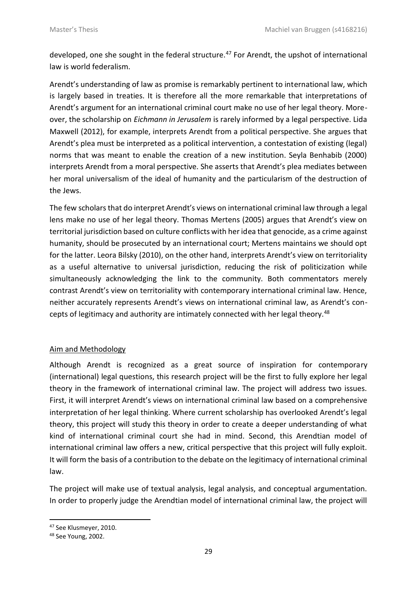developed, one she sought in the federal structure.<sup>47</sup> For Arendt, the upshot of international law is world federalism.

Arendt's understanding of law as promise is remarkably pertinent to international law, which is largely based in treaties. It is therefore all the more remarkable that interpretations of Arendt's argument for an international criminal court make no use of her legal theory. Moreover, the scholarship on *Eichmann in Jerusalem* is rarely informed by a legal perspective. Lida Maxwell (2012), for example, interprets Arendt from a political perspective. She argues that Arendt's plea must be interpreted as a political intervention, a contestation of existing (legal) norms that was meant to enable the creation of a new institution. Seyla Benhabib (2000) interprets Arendt from a moral perspective. She asserts that Arendt's plea mediates between her moral universalism of the ideal of humanity and the particularism of the destruction of the Jews.

The few scholars that do interpret Arendt's views on international criminal law through a legal lens make no use of her legal theory. Thomas Mertens (2005) argues that Arendt's view on territorial jurisdiction based on culture conflicts with her idea that genocide, as a crime against humanity, should be prosecuted by an international court; Mertens maintains we should opt for the latter. Leora Bilsky (2010), on the other hand, interprets Arendt's view on territoriality as a useful alternative to universal jurisdiction, reducing the risk of politicization while simultaneously acknowledging the link to the community. Both commentators merely contrast Arendt's view on territoriality with contemporary international criminal law. Hence, neither accurately represents Arendt's views on international criminal law, as Arendt's concepts of legitimacy and authority are intimately connected with her legal theory.<sup>48</sup>

# Aim and Methodology

Although Arendt is recognized as a great source of inspiration for contemporary (international) legal questions, this research project will be the first to fully explore her legal theory in the framework of international criminal law. The project will address two issues. First, it will interpret Arendt's views on international criminal law based on a comprehensive interpretation of her legal thinking. Where current scholarship has overlooked Arendt's legal theory, this project will study this theory in order to create a deeper understanding of what kind of international criminal court she had in mind. Second, this Arendtian model of international criminal law offers a new, critical perspective that this project will fully exploit. It will form the basis of a contribution to the debate on the legitimacy of international criminal law.

The project will make use of textual analysis, legal analysis, and conceptual argumentation. In order to properly judge the Arendtian model of international criminal law, the project will

 $\overline{a}$ <sup>47</sup> See Klusmeyer, 2010.

<sup>48</sup> See Young, 2002.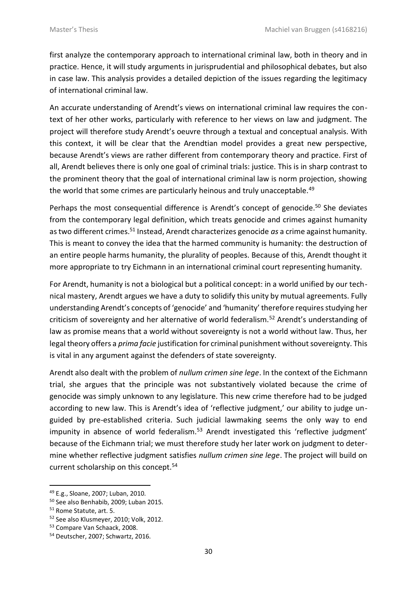first analyze the contemporary approach to international criminal law, both in theory and in practice. Hence, it will study arguments in jurisprudential and philosophical debates, but also in case law. This analysis provides a detailed depiction of the issues regarding the legitimacy of international criminal law.

An accurate understanding of Arendt's views on international criminal law requires the context of her other works, particularly with reference to her views on law and judgment. The project will therefore study Arendt's oeuvre through a textual and conceptual analysis. With this context, it will be clear that the Arendtian model provides a great new perspective, because Arendt's views are rather different from contemporary theory and practice. First of all, Arendt believes there is only one goal of criminal trials: justice. This is in sharp contrast to the prominent theory that the goal of international criminal law is norm projection, showing the world that some crimes are particularly heinous and truly unacceptable.<sup>49</sup>

Perhaps the most consequential difference is Arendt's concept of genocide.<sup>50</sup> She deviates from the contemporary legal definition, which treats genocide and crimes against humanity as two different crimes.<sup>51</sup> Instead, Arendt characterizes genocide *as* a crime against humanity. This is meant to convey the idea that the harmed community is humanity: the destruction of an entire people harms humanity, the plurality of peoples. Because of this, Arendt thought it more appropriate to try Eichmann in an international criminal court representing humanity.

For Arendt, humanity is not a biological but a political concept: in a world unified by our technical mastery, Arendt argues we have a duty to solidify this unity by mutual agreements. Fully understanding Arendt's concepts of 'genocide' and 'humanity' therefore requires studying her criticism of sovereignty and her alternative of world federalism.<sup>52</sup> Arendt's understanding of law as promise means that a world without sovereignty is not a world without law. Thus, her legal theory offers a *prima facie* justification for criminal punishment without sovereignty. This is vital in any argument against the defenders of state sovereignty.

Arendt also dealt with the problem of *nullum crimen sine lege*. In the context of the Eichmann trial, she argues that the principle was not substantively violated because the crime of genocide was simply unknown to any legislature. This new crime therefore had to be judged according to new law. This is Arendt's idea of 'reflective judgment,' our ability to judge unguided by pre-established criteria. Such judicial lawmaking seems the only way to end impunity in absence of world federalism.<sup>53</sup> Arendt investigated this 'reflective judgment' because of the Eichmann trial; we must therefore study her later work on judgment to determine whether reflective judgment satisfies *nullum crimen sine lege*. The project will build on current scholarship on this concept.<sup>54</sup>

<sup>1</sup> <sup>49</sup> E.g., Sloane, 2007; Luban, 2010.

<sup>50</sup> See also Benhabib, 2009; Luban 2015.

<sup>&</sup>lt;sup>51</sup> Rome Statute, art. 5.

<sup>&</sup>lt;sup>52</sup> See also Klusmeyer, 2010; Volk, 2012.

<sup>53</sup> Compare Van Schaack, 2008.

<sup>54</sup> Deutscher, 2007; Schwartz, 2016.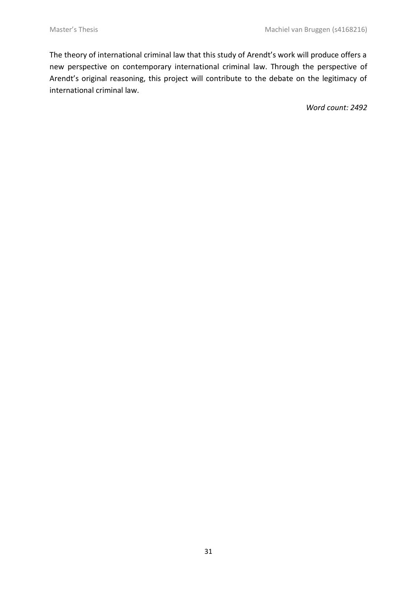The theory of international criminal law that this study of Arendt's work will produce offers a new perspective on contemporary international criminal law. Through the perspective of Arendt's original reasoning, this project will contribute to the debate on the legitimacy of international criminal law.

*Word count: 2492*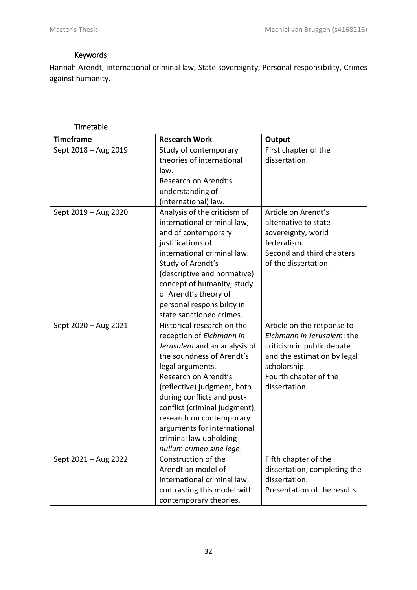# Keywords

Hannah Arendt, International criminal law, State sovereignty, Personal responsibility, Crimes against humanity.

# Timetable

| <b>Timeframe</b>     | <b>Research Work</b>          | Output                       |
|----------------------|-------------------------------|------------------------------|
| Sept 2018 - Aug 2019 | Study of contemporary         | First chapter of the         |
|                      | theories of international     | dissertation.                |
|                      | law.                          |                              |
|                      | Research on Arendt's          |                              |
|                      | understanding of              |                              |
|                      | (international) law.          |                              |
| Sept 2019 - Aug 2020 | Analysis of the criticism of  | Article on Arendt's          |
|                      | international criminal law,   | alternative to state         |
|                      | and of contemporary           | sovereignty, world           |
|                      | justifications of             | federalism.                  |
|                      | international criminal law.   | Second and third chapters    |
|                      | Study of Arendt's             | of the dissertation.         |
|                      | (descriptive and normative)   |                              |
|                      | concept of humanity; study    |                              |
|                      | of Arendt's theory of         |                              |
|                      | personal responsibility in    |                              |
|                      | state sanctioned crimes.      |                              |
| Sept 2020 - Aug 2021 | Historical research on the    | Article on the response to   |
|                      | reception of Eichmann in      | Eichmann in Jerusalem: the   |
|                      | Jerusalem and an analysis of  | criticism in public debate   |
|                      | the soundness of Arendt's     | and the estimation by legal  |
|                      | legal arguments.              | scholarship.                 |
|                      | Research on Arendt's          | Fourth chapter of the        |
|                      | (reflective) judgment, both   | dissertation.                |
|                      | during conflicts and post-    |                              |
|                      | conflict (criminal judgment); |                              |
|                      | research on contemporary      |                              |
|                      | arguments for international   |                              |
|                      | criminal law upholding        |                              |
|                      | nullum crimen sine lege.      |                              |
| Sept 2021 - Aug 2022 | Construction of the           | Fifth chapter of the         |
|                      | Arendtian model of            | dissertation; completing the |
|                      | international criminal law;   | dissertation.                |
|                      | contrasting this model with   | Presentation of the results. |
|                      | contemporary theories.        |                              |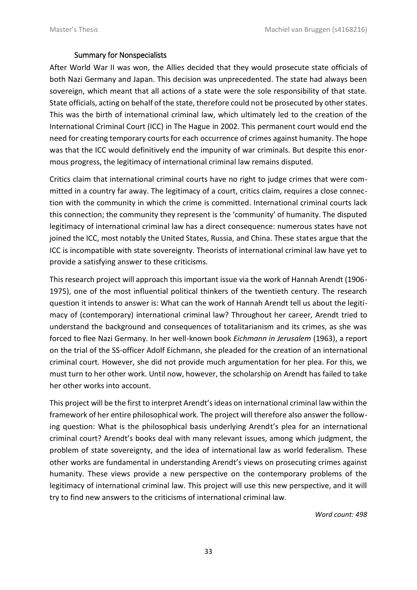### Summary for Nonspecialists

After World War II was won, the Allies decided that they would prosecute state officials of both Nazi Germany and Japan. This decision was unprecedented. The state had always been sovereign, which meant that all actions of a state were the sole responsibility of that state. State officials, acting on behalf of the state, therefore could not be prosecuted by other states. This was the birth of international criminal law, which ultimately led to the creation of the International Criminal Court (ICC) in The Hague in 2002. This permanent court would end the need for creating temporary courts for each occurrence of crimes against humanity. The hope was that the ICC would definitively end the impunity of war criminals. But despite this enormous progress, the legitimacy of international criminal law remains disputed.

Critics claim that international criminal courts have no right to judge crimes that were committed in a country far away. The legitimacy of a court, critics claim, requires a close connection with the community in which the crime is committed. International criminal courts lack this connection; the community they represent is the 'community' of humanity. The disputed legitimacy of international criminal law has a direct consequence: numerous states have not joined the ICC, most notably the United States, Russia, and China. These states argue that the ICC is incompatible with state sovereignty. Theorists of international criminal law have yet to provide a satisfying answer to these criticisms.

This research project will approach this important issue via the work of Hannah Arendt (1906- 1975), one of the most influential political thinkers of the twentieth century. The research question it intends to answer is: What can the work of Hannah Arendt tell us about the legitimacy of (contemporary) international criminal law? Throughout her career, Arendt tried to understand the background and consequences of totalitarianism and its crimes, as she was forced to flee Nazi Germany. In her well-known book *Eichmann in Jerusalem* (1963), a report on the trial of the SS-officer Adolf Eichmann, she pleaded for the creation of an international criminal court. However, she did not provide much argumentation for her plea. For this, we must turn to her other work. Until now, however, the scholarship on Arendt has failed to take her other works into account.

This project will be the first to interpret Arendt's ideas on international criminal law within the framework of her entire philosophical work. The project will therefore also answer the following question: What is the philosophical basis underlying Arendt's plea for an international criminal court? Arendt's books deal with many relevant issues, among which judgment, the problem of state sovereignty, and the idea of international law as world federalism. These other works are fundamental in understanding Arendt's views on prosecuting crimes against humanity. These views provide a new perspective on the contemporary problems of the legitimacy of international criminal law. This project will use this new perspective, and it will try to find new answers to the criticisms of international criminal law.

*Word count: 498*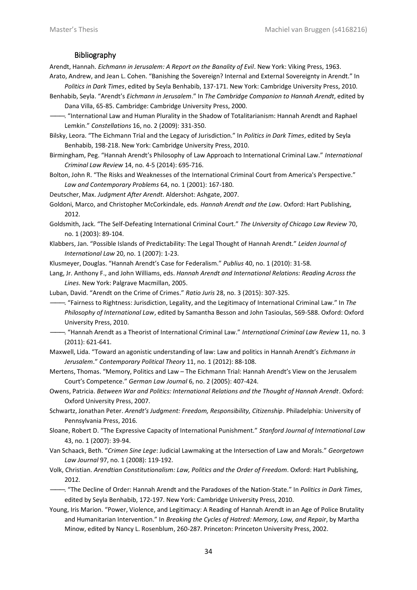#### Bibliography

Arendt, Hannah. *Eichmann in Jerusalem: A Report on the Banality of Evil*. New York: Viking Press, 1963. Arato, Andrew, and Jean L. Cohen. "Banishing the Sovereign? Internal and External Sovereignty in Arendt." In

*Politics in Dark Times*, edited by Seyla Benhabib, 137-171. New York: Cambridge University Press, 2010.

Benhabib, Seyla. "Arendt's *Eichmann in Jerusalem*." In *The Cambridge Companion to Hannah Arendt*, edited by Dana Villa, 65-85. Cambridge: Cambridge University Press, 2000.

———. "International Law and Human Plurality in the Shadow of Totalitarianism: Hannah Arendt and Raphael Lemkin." *Constellations* 16, no. 2 (2009): 331-350.

Bilsky, Leora. "The Eichmann Trial and the Legacy of Jurisdiction." In *Politics in Dark Times*, edited by Seyla Benhabib, 198-218. New York: Cambridge University Press, 2010.

Birmingham, Peg. "Hannah Arendt's Philosophy of Law Approach to International Criminal Law." *International Criminal Law Review* 14, no. 4-5 (2014): 695-716.

Bolton, John R. "The Risks and Weaknesses of the International Criminal Court from America's Perspective." *Law and Contemporary Problems* 64, no. 1 (2001): 167-180.

Deutscher, Max. *Judgment After Arendt*. Aldershot: Ashgate, 2007.

Goldoni, Marco, and Christopher McCorkindale, eds. *Hannah Arendt and the Law*. Oxford: Hart Publishing, 2012.

Goldsmith, Jack. "The Self-Defeating International Criminal Court." *The University of Chicago Law Review* 70, no. 1 (2003): 89-104.

Klabbers, Jan. "Possible Islands of Predictability: The Legal Thought of Hannah Arendt." *Leiden Journal of International Law* 20, no. 1 (2007): 1-23.

Klusmeyer, Douglas. "Hannah Arendt's Case for Federalism." *Publius* 40, no. 1 (2010): 31-58.

Lang, Jr. Anthony F., and John Williams, eds. *Hannah Arendt and International Relations: Reading Across the Lines*. New York: Palgrave Macmillan, 2005.

Luban, David. "Arendt on the Crime of Crimes." *Ratio Juris* 28, no. 3 (2015): 307-325.

———. "Fairness to Rightness: Jurisdiction, Legality, and the Legitimacy of International Criminal Law." In *The Philosophy of International Law*, edited by Samantha Besson and John Tasioulas, 569-588. Oxford: Oxford University Press, 2010.

- ———. "Hannah Arendt as a Theorist of International Criminal Law." *International Criminal Law Review* 11, no. 3 (2011): 621-641.
- Maxwell, Lida. "Toward an agonistic understanding of law: Law and politics in Hannah Arendt's *Eichmann in Jerusalem*." *Contemporary Political Theory* 11, no. 1 (2012): 88-108.

Mertens, Thomas. "Memory, Politics and Law – The Eichmann Trial: Hannah Arendt's View on the Jerusalem Court's Competence." *German Law Journal* 6, no. 2 (2005): 407-424.

Owens, Patricia. *Between War and Politics: International Relations and the Thought of Hannah Arendt*. Oxford: Oxford University Press, 2007.

Schwartz, Jonathan Peter. *Arendt's Judgment: Freedom, Responsibility, Citizenship*. Philadelphia: University of Pennsylvania Press, 2016.

- Sloane, Robert D. "The Expressive Capacity of International Punishment." *Stanford Journal of International Law* 43, no. 1 (2007): 39-94.
- Van Schaack, Beth. "*Crimen Sine Lege*: Judicial Lawmaking at the Intersection of Law and Morals." *Georgetown Law Journal* 97, no. 1 (2008): 119-192.

Volk, Christian. *Arendtian Constitutionalism: Law, Politics and the Order of Freedom*. Oxford: Hart Publishing, 2012.

———. "The Decline of Order: Hannah Arendt and the Paradoxes of the Nation-State." In *Politics in Dark Times*, edited by Seyla Benhabib, 172-197. New York: Cambridge University Press, 2010.

Young, Iris Marion. "Power, Violence, and Legitimacy: A Reading of Hannah Arendt in an Age of Police Brutality and Humanitarian Intervention." In *Breaking the Cycles of Hatred: Memory, Law, and Repair*, by Martha Minow, edited by Nancy L. Rosenblum, 260-287. Princeton: Princeton University Press, 2002.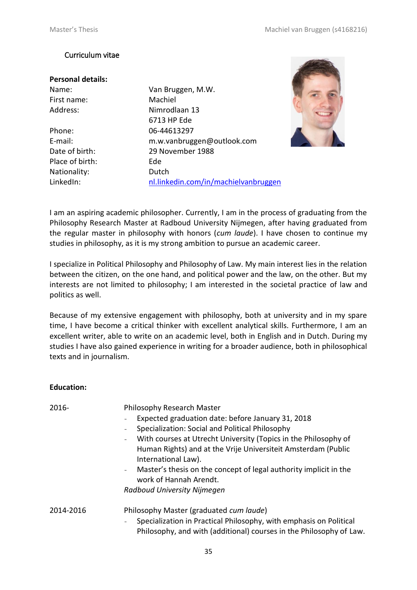### Curriculum vitae

| <b>Personal details:</b> |                |
|--------------------------|----------------|
| Name:                    | Van Bruggen, N |
| First name:              | Machiel        |
| Address:                 | Nimrodlaan 13  |
|                          | 6713 HP Ede    |
| Phone:                   | 06-44613297    |
| E-mail:                  | m.w.vanbrugge  |
| Date of birth:           | 29 November 1  |
| Place of birth:          | Ede            |
| Nationality:             | Dutch          |

Name: Van Bruggen, M.W. 6713 HP Ede E-mail: m.w.vanbruggen@outlook.com Date of birth: 29 November 1988 LinkedIn: [nl.linkedin.com/in/machielvanbruggen](http://nl.linkedin.com/in/machielvanbruggen)



I am an aspiring academic philosopher. Currently, I am in the process of graduating from the Philosophy Research Master at Radboud University Nijmegen, after having graduated from the regular master in philosophy with honors (*cum laude*). I have chosen to continue my studies in philosophy, as it is my strong ambition to pursue an academic career.

I specialize in Political Philosophy and Philosophy of Law. My main interest lies in the relation between the citizen, on the one hand, and political power and the law, on the other. But my interests are not limited to philosophy; I am interested in the societal practice of law and politics as well.

Because of my extensive engagement with philosophy, both at university and in my spare time, I have become a critical thinker with excellent analytical skills. Furthermore, I am an excellent writer, able to write on an academic level, both in English and in Dutch. During my studies I have also gained experience in writing for a broader audience, both in philosophical texts and in journalism.

#### **Education:**

| 2016-     | Philosophy Research Master                                                                                                                |  |  |
|-----------|-------------------------------------------------------------------------------------------------------------------------------------------|--|--|
|           | Expected graduation date: before January 31, 2018                                                                                         |  |  |
|           | Specialization: Social and Political Philosophy                                                                                           |  |  |
|           | With courses at Utrecht University (Topics in the Philosophy of<br>$\overline{\phantom{a}}$                                               |  |  |
|           | Human Rights) and at the Vrije Universiteit Amsterdam (Public<br>International Law).                                                      |  |  |
|           | Master's thesis on the concept of legal authority implicit in the<br>$\equiv$<br>work of Hannah Arendt.                                   |  |  |
|           | Radboud University Nijmegen                                                                                                               |  |  |
| 2014-2016 | Philosophy Master (graduated cum laude)                                                                                                   |  |  |
|           | Specialization in Practical Philosophy, with emphasis on Political<br>Philosophy, and with (additional) courses in the Philosophy of Law. |  |  |